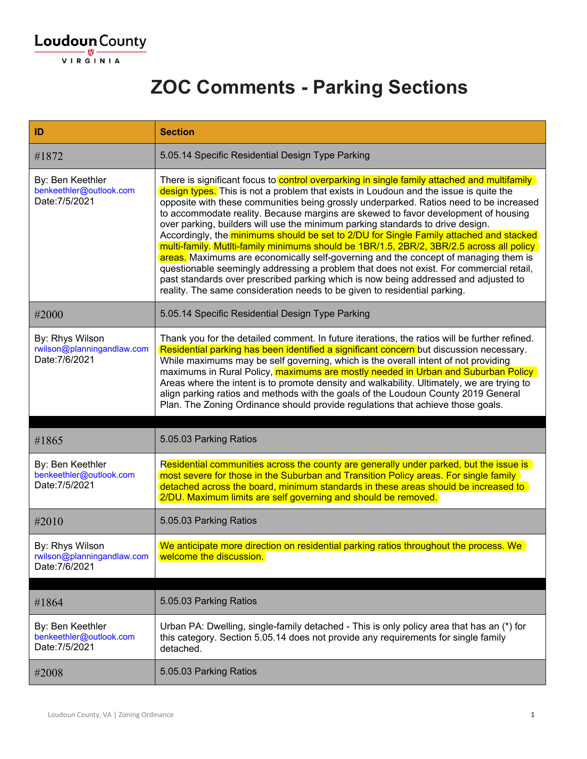

#### **ZOC Comments - Parking Sections**

| ID                                                              | <b>Section</b>                                                                                                                                                                                                                                                                                                                                                                                                                                                                                                                                                                                                                                                                                                                                                                                                                                                                                                                                                                                     |
|-----------------------------------------------------------------|----------------------------------------------------------------------------------------------------------------------------------------------------------------------------------------------------------------------------------------------------------------------------------------------------------------------------------------------------------------------------------------------------------------------------------------------------------------------------------------------------------------------------------------------------------------------------------------------------------------------------------------------------------------------------------------------------------------------------------------------------------------------------------------------------------------------------------------------------------------------------------------------------------------------------------------------------------------------------------------------------|
| #1872                                                           | 5.05.14 Specific Residential Design Type Parking                                                                                                                                                                                                                                                                                                                                                                                                                                                                                                                                                                                                                                                                                                                                                                                                                                                                                                                                                   |
| By: Ben Keethler<br>benkeethler@outlook.com<br>Date: 7/5/2021   | There is significant focus to control overparking in single family attached and multifamily<br>design types. This is not a problem that exists in Loudoun and the issue is quite the<br>opposite with these communities being grossly underparked. Ratios need to be increased<br>to accommodate reality. Because margins are skewed to favor development of housing<br>over parking, builders will use the minimum parking standards to drive design.<br>Accordingly, the minimums should be set to 2/DU for Single Family attached and stacked<br>multi-family. Mutiti-family minimums should be 1BR/1.5, 2BR/2, 3BR/2.5 across all policy<br>areas. Maximums are economically self-governing and the concept of managing them is<br>questionable seemingly addressing a problem that does not exist. For commercial retail,<br>past standards over prescribed parking which is now being addressed and adjusted to<br>reality. The same consideration needs to be given to residential parking. |
| #2000                                                           | 5.05.14 Specific Residential Design Type Parking                                                                                                                                                                                                                                                                                                                                                                                                                                                                                                                                                                                                                                                                                                                                                                                                                                                                                                                                                   |
| By: Rhys Wilson<br>rwilson@planningandlaw.com<br>Date: 7/6/2021 | Thank you for the detailed comment. In future iterations, the ratios will be further refined.<br>Residential parking has been identified a significant concern but discussion necessary.<br>While maximums may be self governing, which is the overall intent of not providing<br>maximums in Rural Policy, maximums are mostly needed in Urban and Suburban Policy<br>Areas where the intent is to promote density and walkability. Ultimately, we are trying to<br>align parking ratios and methods with the goals of the Loudoun County 2019 General<br>Plan. The Zoning Ordinance should provide regulations that achieve those goals.                                                                                                                                                                                                                                                                                                                                                         |
| #1865                                                           | 5.05.03 Parking Ratios                                                                                                                                                                                                                                                                                                                                                                                                                                                                                                                                                                                                                                                                                                                                                                                                                                                                                                                                                                             |
| By: Ben Keethler<br>benkeethler@outlook.com<br>Date: 7/5/2021   | Residential communities across the county are generally under parked, but the issue is<br>most severe for those in the Suburban and Transition Policy areas. For single family<br>detached across the board, minimum standards in these areas should be increased to<br>2/DU. Maximum limits are self governing and should be removed.                                                                                                                                                                                                                                                                                                                                                                                                                                                                                                                                                                                                                                                             |
| #2010                                                           | 5.05.03 Parking Ratios                                                                                                                                                                                                                                                                                                                                                                                                                                                                                                                                                                                                                                                                                                                                                                                                                                                                                                                                                                             |
| By: Rhys Wilson<br>rwilson@planningandlaw.com<br>Date: 7/6/2021 | We anticipate more direction on residential parking ratios throughout the process. We<br>welcome the discussion.                                                                                                                                                                                                                                                                                                                                                                                                                                                                                                                                                                                                                                                                                                                                                                                                                                                                                   |
| #1864                                                           | 5.05.03 Parking Ratios                                                                                                                                                                                                                                                                                                                                                                                                                                                                                                                                                                                                                                                                                                                                                                                                                                                                                                                                                                             |
| By: Ben Keethler<br>benkeethler@outlook.com<br>Date: 7/5/2021   | Urban PA: Dwelling, single-family detached - This is only policy area that has an (*) for<br>this category. Section 5.05.14 does not provide any requirements for single family<br>detached.                                                                                                                                                                                                                                                                                                                                                                                                                                                                                                                                                                                                                                                                                                                                                                                                       |
|                                                                 |                                                                                                                                                                                                                                                                                                                                                                                                                                                                                                                                                                                                                                                                                                                                                                                                                                                                                                                                                                                                    |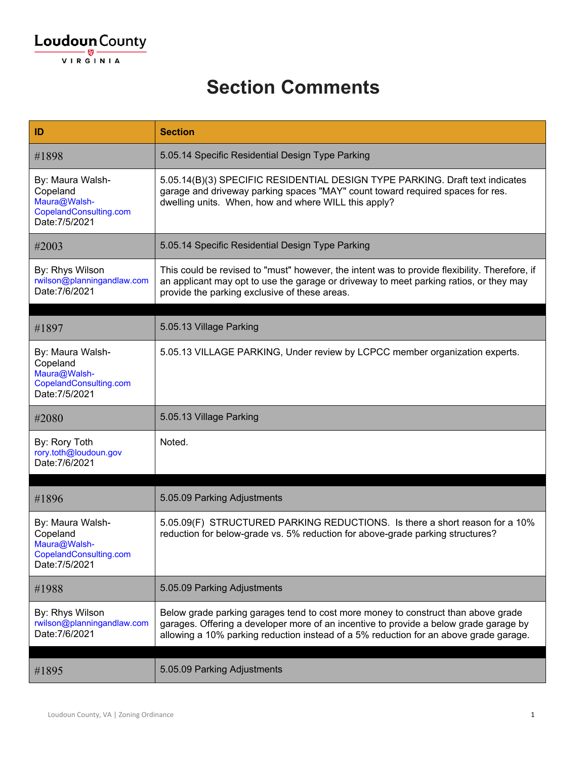#### **Section Comments**

| ID                                                                                       | <b>Section</b>                                                                                                                                                                                                                                                      |
|------------------------------------------------------------------------------------------|---------------------------------------------------------------------------------------------------------------------------------------------------------------------------------------------------------------------------------------------------------------------|
| #1898                                                                                    | 5.05.14 Specific Residential Design Type Parking                                                                                                                                                                                                                    |
| By: Maura Walsh-<br>Copeland<br>Maura@Walsh-<br>CopelandConsulting.com<br>Date: 7/5/2021 | 5.05.14(B)(3) SPECIFIC RESIDENTIAL DESIGN TYPE PARKING. Draft text indicates<br>garage and driveway parking spaces "MAY" count toward required spaces for res.<br>dwelling units. When, how and where WILL this apply?                                              |
| #2003                                                                                    | 5.05.14 Specific Residential Design Type Parking                                                                                                                                                                                                                    |
| By: Rhys Wilson<br>rwilson@planningandlaw.com<br>Date: 7/6/2021                          | This could be revised to "must" however, the intent was to provide flexibility. Therefore, if<br>an applicant may opt to use the garage or driveway to meet parking ratios, or they may<br>provide the parking exclusive of these areas.                            |
|                                                                                          |                                                                                                                                                                                                                                                                     |
| #1897                                                                                    | 5.05.13 Village Parking                                                                                                                                                                                                                                             |
| By: Maura Walsh-<br>Copeland<br>Maura@Walsh-<br>CopelandConsulting.com<br>Date: 7/5/2021 | 5.05.13 VILLAGE PARKING, Under review by LCPCC member organization experts.                                                                                                                                                                                         |
| #2080                                                                                    | 5.05.13 Village Parking                                                                                                                                                                                                                                             |
| By: Rory Toth<br>rory.toth@loudoun.gov<br>Date: 7/6/2021                                 | Noted.                                                                                                                                                                                                                                                              |
|                                                                                          |                                                                                                                                                                                                                                                                     |
| #1896                                                                                    | 5.05.09 Parking Adjustments                                                                                                                                                                                                                                         |
| By: Maura Walsh-<br>Copeland<br>Maura@Walsh-<br>CopelandConsulting.com<br>Date: 7/5/2021 | 5.05.09(F) STRUCTURED PARKING REDUCTIONS. Is there a short reason for a 10%<br>reduction for below-grade vs. 5% reduction for above-grade parking structures?                                                                                                       |
| #1988                                                                                    | 5.05.09 Parking Adjustments                                                                                                                                                                                                                                         |
| By: Rhys Wilson<br>rwilson@planningandlaw.com<br>Date: 7/6/2021                          | Below grade parking garages tend to cost more money to construct than above grade<br>garages. Offering a developer more of an incentive to provide a below grade garage by<br>allowing a 10% parking reduction instead of a 5% reduction for an above grade garage. |
| #1895                                                                                    | 5.05.09 Parking Adjustments                                                                                                                                                                                                                                         |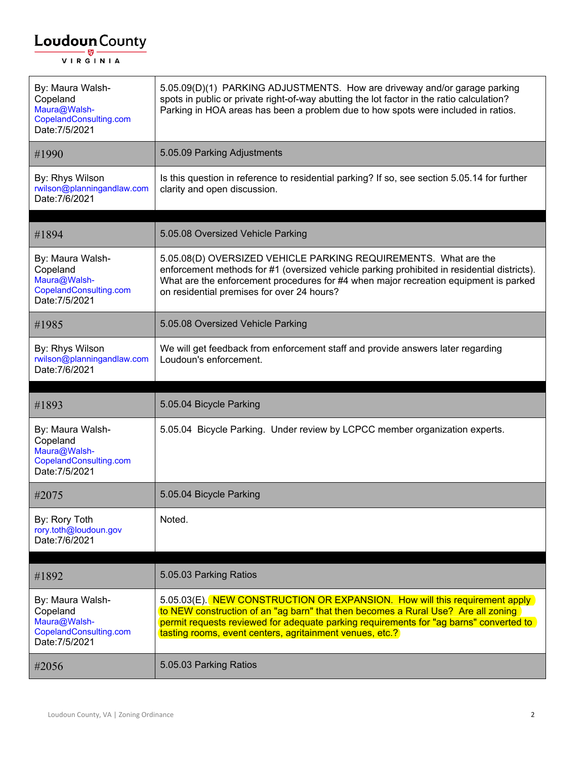| By: Maura Walsh-<br>Copeland<br>Maura@Walsh-<br>CopelandConsulting.com<br>Date: 7/5/2021 | 5.05.09(D)(1) PARKING ADJUSTMENTS. How are driveway and/or garage parking<br>spots in public or private right-of-way abutting the lot factor in the ratio calculation?<br>Parking in HOA areas has been a problem due to how spots were included in ratios.                                                           |
|------------------------------------------------------------------------------------------|-----------------------------------------------------------------------------------------------------------------------------------------------------------------------------------------------------------------------------------------------------------------------------------------------------------------------|
| #1990                                                                                    | 5.05.09 Parking Adjustments                                                                                                                                                                                                                                                                                           |
| By: Rhys Wilson<br>rwilson@planningandlaw.com<br>Date: 7/6/2021                          | Is this question in reference to residential parking? If so, see section 5.05.14 for further<br>clarity and open discussion.                                                                                                                                                                                          |
| #1894                                                                                    | 5.05.08 Oversized Vehicle Parking                                                                                                                                                                                                                                                                                     |
| By: Maura Walsh-<br>Copeland<br>Maura@Walsh-<br>CopelandConsulting.com<br>Date: 7/5/2021 | 5.05.08(D) OVERSIZED VEHICLE PARKING REQUIREMENTS. What are the<br>enforcement methods for #1 (oversized vehicle parking prohibited in residential districts).<br>What are the enforcement procedures for #4 when major recreation equipment is parked<br>on residential premises for over 24 hours?                  |
| #1985                                                                                    | 5.05.08 Oversized Vehicle Parking                                                                                                                                                                                                                                                                                     |
| By: Rhys Wilson<br>rwilson@planningandlaw.com<br>Date: 7/6/2021                          | We will get feedback from enforcement staff and provide answers later regarding<br>Loudoun's enforcement.                                                                                                                                                                                                             |
|                                                                                          |                                                                                                                                                                                                                                                                                                                       |
| #1893                                                                                    | 5.05.04 Bicycle Parking                                                                                                                                                                                                                                                                                               |
| By: Maura Walsh-<br>Copeland<br>Maura@Walsh-<br>CopelandConsulting.com<br>Date: 7/5/2021 | 5.05.04 Bicycle Parking. Under review by LCPCC member organization experts.                                                                                                                                                                                                                                           |
| #2075                                                                                    | 5.05.04 Bicycle Parking                                                                                                                                                                                                                                                                                               |
| By: Rory Toth<br>rory.toth@loudoun.gov<br>Date: 7/6/2021                                 | Noted.                                                                                                                                                                                                                                                                                                                |
| #1892                                                                                    | 5.05.03 Parking Ratios                                                                                                                                                                                                                                                                                                |
| By: Maura Walsh-<br>Copeland<br>Maura@Walsh-<br>CopelandConsulting.com<br>Date: 7/5/2021 | 5.05.03(E). NEW CONSTRUCTION OR EXPANSION. How will this requirement apply<br>to NEW construction of an "ag barn" that then becomes a Rural Use? Are all zoning<br>permit requests reviewed for adequate parking requirements for "ag barns" converted to<br>tasting rooms, event centers, agritainment venues, etc.? |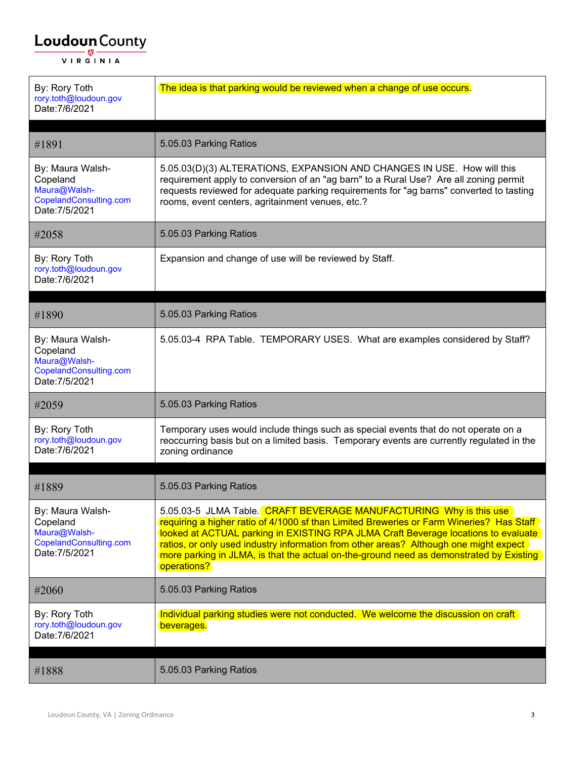| By: Rory Toth<br>rory.toth@loudoun.gov<br>Date: 7/6/2021                                 | The idea is that parking would be reviewed when a change of use occurs.                                                                                                                                                                                                                                                                                                                                                                                 |
|------------------------------------------------------------------------------------------|---------------------------------------------------------------------------------------------------------------------------------------------------------------------------------------------------------------------------------------------------------------------------------------------------------------------------------------------------------------------------------------------------------------------------------------------------------|
| #1891                                                                                    | 5.05.03 Parking Ratios                                                                                                                                                                                                                                                                                                                                                                                                                                  |
|                                                                                          |                                                                                                                                                                                                                                                                                                                                                                                                                                                         |
| By: Maura Walsh-<br>Copeland<br>Maura@Walsh-<br>CopelandConsulting.com<br>Date: 7/5/2021 | 5.05.03(D)(3) ALTERATIONS, EXPANSION AND CHANGES IN USE. How will this<br>requirement apply to conversion of an "ag barn" to a Rural Use? Are all zoning permit<br>requests reviewed for adequate parking requirements for "ag barns" converted to tasting<br>rooms, event centers, agritainment venues, etc.?                                                                                                                                          |
| #2058                                                                                    | 5.05.03 Parking Ratios                                                                                                                                                                                                                                                                                                                                                                                                                                  |
| By: Rory Toth<br>rory.toth@loudoun.gov<br>Date: 7/6/2021                                 | Expansion and change of use will be reviewed by Staff.                                                                                                                                                                                                                                                                                                                                                                                                  |
|                                                                                          |                                                                                                                                                                                                                                                                                                                                                                                                                                                         |
| #1890                                                                                    | 5.05.03 Parking Ratios                                                                                                                                                                                                                                                                                                                                                                                                                                  |
| By: Maura Walsh-<br>Copeland<br>Maura@Walsh-<br>CopelandConsulting.com<br>Date: 7/5/2021 | 5.05.03-4 RPA Table. TEMPORARY USES. What are examples considered by Staff?                                                                                                                                                                                                                                                                                                                                                                             |
| #2059                                                                                    | 5.05.03 Parking Ratios                                                                                                                                                                                                                                                                                                                                                                                                                                  |
| By: Rory Toth<br>rory.toth@loudoun.gov<br>Date: 7/6/2021                                 | Temporary uses would include things such as special events that do not operate on a<br>reoccurring basis but on a limited basis. Temporary events are currently regulated in the<br>zoning ordinance                                                                                                                                                                                                                                                    |
|                                                                                          | 5.05.03 Parking Ratios                                                                                                                                                                                                                                                                                                                                                                                                                                  |
| #1889                                                                                    |                                                                                                                                                                                                                                                                                                                                                                                                                                                         |
| By: Maura Walsh-<br>Copeland<br>Maura@Walsh-<br>CopelandConsulting.com<br>Date: 7/5/2021 | 5.05.03-5 JLMA Table. CRAFT BEVERAGE MANUFACTURING Why is this use<br>requiring a higher ratio of 4/1000 sf than Limited Breweries or Farm Wineries? Has Staff<br>looked at ACTUAL parking in EXISTING RPA JLMA Craft Beverage locations to evaluate<br>ratios, or only used industry information from other areas? Although one might expect<br>more parking in JLMA, is that the actual on-the-ground need as demonstrated by Existing<br>operations? |
| #2060                                                                                    | 5.05.03 Parking Ratios                                                                                                                                                                                                                                                                                                                                                                                                                                  |
| By: Rory Toth<br>rory.toth@loudoun.gov<br>Date: 7/6/2021                                 | Individual parking studies were not conducted. We welcome the discussion on craft<br>beverages.                                                                                                                                                                                                                                                                                                                                                         |
| #1888                                                                                    | 5.05.03 Parking Ratios                                                                                                                                                                                                                                                                                                                                                                                                                                  |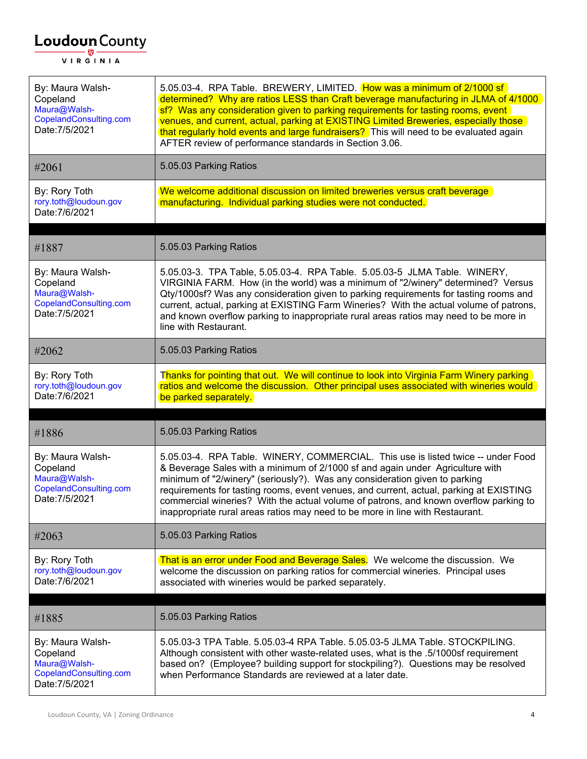| By: Maura Walsh-<br>Copeland<br>Maura@Walsh-<br>CopelandConsulting.com<br>Date: 7/5/2021 | 5.05.03-4. RPA Table. BREWERY, LIMITED. How was a minimum of 2/1000 sf<br>determined? Why are ratios LESS than Craft beverage manufacturing in JLMA of 4/1000<br>sf? Was any consideration given to parking requirements for tasting rooms, event<br>venues, and current, actual, parking at EXISTING Limited Breweries, especially those<br>that regularly hold events and large fundraisers? This will need to be evaluated again<br>AFTER review of performance standards in Section 3.06.                       |
|------------------------------------------------------------------------------------------|---------------------------------------------------------------------------------------------------------------------------------------------------------------------------------------------------------------------------------------------------------------------------------------------------------------------------------------------------------------------------------------------------------------------------------------------------------------------------------------------------------------------|
| #2061                                                                                    | 5.05.03 Parking Ratios                                                                                                                                                                                                                                                                                                                                                                                                                                                                                              |
| By: Rory Toth<br>rory.toth@loudoun.gov<br>Date: 7/6/2021                                 | We welcome additional discussion on limited breweries versus craft beverage<br>manufacturing. Individual parking studies were not conducted.                                                                                                                                                                                                                                                                                                                                                                        |
| #1887                                                                                    | 5.05.03 Parking Ratios                                                                                                                                                                                                                                                                                                                                                                                                                                                                                              |
| By: Maura Walsh-<br>Copeland<br>Maura@Walsh-<br>CopelandConsulting.com<br>Date: 7/5/2021 | 5.05.03-3. TPA Table, 5.05.03-4. RPA Table. 5.05.03-5 JLMA Table. WINERY,<br>VIRGINIA FARM. How (in the world) was a minimum of "2/winery" determined? Versus<br>Qty/1000sf? Was any consideration given to parking requirements for tasting rooms and<br>current, actual, parking at EXISTING Farm Wineries? With the actual volume of patrons,<br>and known overflow parking to inappropriate rural areas ratios may need to be more in<br>line with Restaurant.                                                  |
| #2062                                                                                    | 5.05.03 Parking Ratios                                                                                                                                                                                                                                                                                                                                                                                                                                                                                              |
| By: Rory Toth<br>rory.toth@loudoun.gov<br>Date: 7/6/2021                                 | Thanks for pointing that out. We will continue to look into Virginia Farm Winery parking<br>ratios and welcome the discussion. Other principal uses associated with wineries would<br>be parked separately.                                                                                                                                                                                                                                                                                                         |
| #1886                                                                                    | 5.05.03 Parking Ratios                                                                                                                                                                                                                                                                                                                                                                                                                                                                                              |
| By: Maura Walsh-<br>Copeland<br>Maura@Walsh-<br>CopelandConsulting.com<br>Date: 7/5/2021 | 5.05.03-4. RPA Table. WINERY, COMMERCIAL. This use is listed twice -- under Food<br>& Beverage Sales with a minimum of 2/1000 sf and again under Agriculture with<br>minimum of "2/winery" (seriously?). Was any consideration given to parking<br>requirements for tasting rooms, event venues, and current, actual, parking at EXISTING<br>commercial wineries? With the actual volume of patrons, and known overflow parking to<br>inappropriate rural areas ratios may need to be more in line with Restaurant. |
| #2063                                                                                    | 5.05.03 Parking Ratios                                                                                                                                                                                                                                                                                                                                                                                                                                                                                              |
| By: Rory Toth<br>rory.toth@loudoun.gov<br>Date: 7/6/2021                                 | That is an error under Food and Beverage Sales. We welcome the discussion. We<br>welcome the discussion on parking ratios for commercial wineries. Principal uses<br>associated with wineries would be parked separately.                                                                                                                                                                                                                                                                                           |
| #1885                                                                                    | 5.05.03 Parking Ratios                                                                                                                                                                                                                                                                                                                                                                                                                                                                                              |
| By: Maura Walsh-<br>Copeland<br>Maura@Walsh-<br>CopelandConsulting.com<br>Date: 7/5/2021 | 5.05.03-3 TPA Table. 5.05.03-4 RPA Table. 5.05.03-5 JLMA Table. STOCKPILING.<br>Although consistent with other waste-related uses, what is the .5/1000sf requirement<br>based on? (Employee? building support for stockpiling?). Questions may be resolved<br>when Performance Standards are reviewed at a later date.                                                                                                                                                                                              |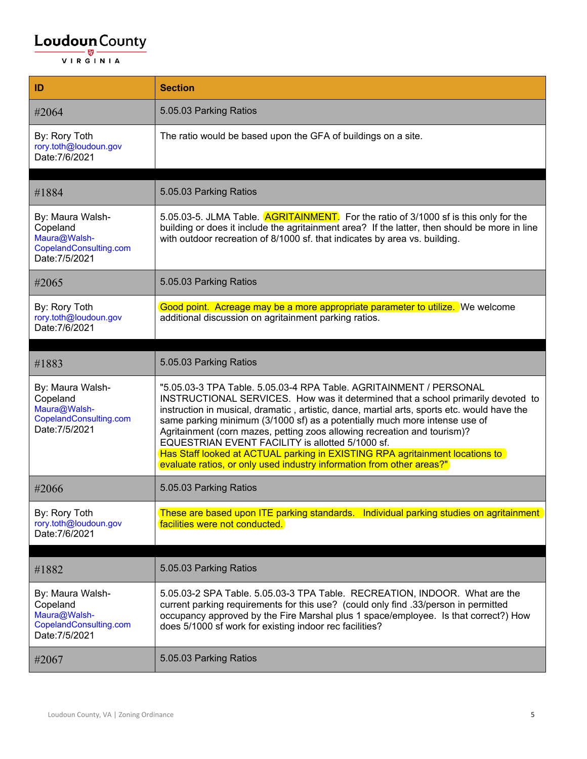| ID                                                                                       | <b>Section</b>                                                                                                                                                                                                                                                                                                                                                                                                                                                                                                                                                                                                               |
|------------------------------------------------------------------------------------------|------------------------------------------------------------------------------------------------------------------------------------------------------------------------------------------------------------------------------------------------------------------------------------------------------------------------------------------------------------------------------------------------------------------------------------------------------------------------------------------------------------------------------------------------------------------------------------------------------------------------------|
| #2064                                                                                    | 5.05.03 Parking Ratios                                                                                                                                                                                                                                                                                                                                                                                                                                                                                                                                                                                                       |
| By: Rory Toth<br>rory.toth@loudoun.gov<br>Date: 7/6/2021                                 | The ratio would be based upon the GFA of buildings on a site.                                                                                                                                                                                                                                                                                                                                                                                                                                                                                                                                                                |
|                                                                                          |                                                                                                                                                                                                                                                                                                                                                                                                                                                                                                                                                                                                                              |
| #1884                                                                                    | 5.05.03 Parking Ratios                                                                                                                                                                                                                                                                                                                                                                                                                                                                                                                                                                                                       |
| By: Maura Walsh-<br>Copeland<br>Maura@Walsh-<br>CopelandConsulting.com<br>Date: 7/5/2021 | 5.05.03-5. JLMA Table. <b>AGRITAINMENT</b> For the ratio of 3/1000 sf is this only for the<br>building or does it include the agritainment area? If the latter, then should be more in line<br>with outdoor recreation of 8/1000 sf. that indicates by area vs. building.                                                                                                                                                                                                                                                                                                                                                    |
| #2065                                                                                    | 5.05.03 Parking Ratios                                                                                                                                                                                                                                                                                                                                                                                                                                                                                                                                                                                                       |
| By: Rory Toth<br>rory.toth@loudoun.gov<br>Date: 7/6/2021                                 | Good point. Acreage may be a more appropriate parameter to utilize. We welcome<br>additional discussion on agritainment parking ratios.                                                                                                                                                                                                                                                                                                                                                                                                                                                                                      |
|                                                                                          |                                                                                                                                                                                                                                                                                                                                                                                                                                                                                                                                                                                                                              |
| #1883                                                                                    | 5.05.03 Parking Ratios                                                                                                                                                                                                                                                                                                                                                                                                                                                                                                                                                                                                       |
| By: Maura Walsh-<br>Copeland<br>Maura@Walsh-<br>CopelandConsulting.com<br>Date: 7/5/2021 | "5.05.03-3 TPA Table. 5.05.03-4 RPA Table. AGRITAINMENT / PERSONAL<br>INSTRUCTIONAL SERVICES. How was it determined that a school primarily devoted to<br>instruction in musical, dramatic, artistic, dance, martial arts, sports etc. would have the<br>same parking minimum (3/1000 sf) as a potentially much more intense use of<br>Agritainment (corn mazes, petting zoos allowing recreation and tourism)?<br>EQUESTRIAN EVENT FACILITY is allotted 5/1000 sf.<br>Has Staff looked at ACTUAL parking in EXISTING RPA agritainment locations to<br>evaluate ratios, or only used industry information from other areas?" |
| #2066                                                                                    | 5.05.03 Parking Ratios                                                                                                                                                                                                                                                                                                                                                                                                                                                                                                                                                                                                       |
| By: Rory Toth<br>rory.toth@loudoun.gov<br>Date: 7/6/2021                                 | These are based upon ITE parking standards. Individual parking studies on agritainment<br>facilities were not conducted.                                                                                                                                                                                                                                                                                                                                                                                                                                                                                                     |
|                                                                                          |                                                                                                                                                                                                                                                                                                                                                                                                                                                                                                                                                                                                                              |
| #1882                                                                                    | 5.05.03 Parking Ratios                                                                                                                                                                                                                                                                                                                                                                                                                                                                                                                                                                                                       |
| By: Maura Walsh-<br>Copeland<br>Maura@Walsh-<br>CopelandConsulting.com<br>Date: 7/5/2021 | 5.05.03-2 SPA Table. 5.05.03-3 TPA Table. RECREATION, INDOOR. What are the<br>current parking requirements for this use? (could only find .33/person in permitted<br>occupancy approved by the Fire Marshal plus 1 space/employee. Is that correct?) How<br>does 5/1000 sf work for existing indoor rec facilities?                                                                                                                                                                                                                                                                                                          |
| #2067                                                                                    | 5.05.03 Parking Ratios                                                                                                                                                                                                                                                                                                                                                                                                                                                                                                                                                                                                       |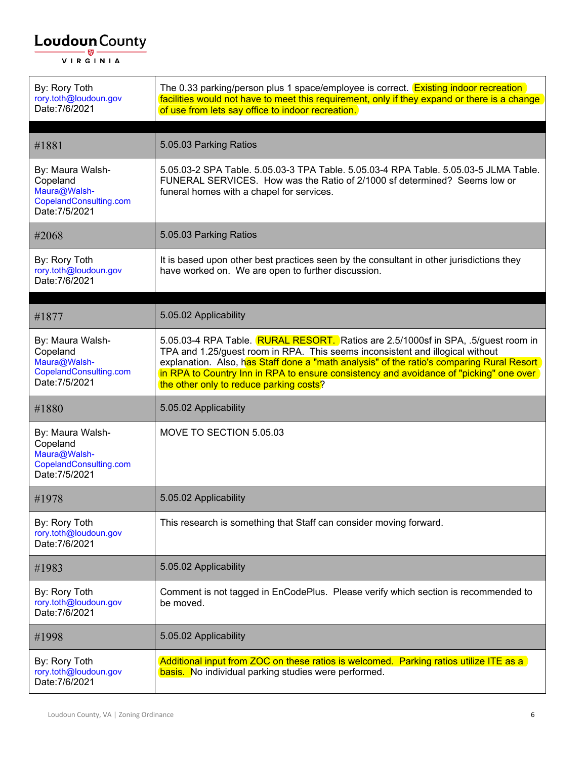| By: Rory Toth<br>rory.toth@loudoun.gov<br>Date: 7/6/2021                                 | The 0.33 parking/person plus 1 space/employee is correct. <b>Existing indoor recreation</b><br>facilities would not have to meet this requirement, only if they expand or there is a change<br>of use from lets say office to indoor recreation.                                                                                                                                                     |
|------------------------------------------------------------------------------------------|------------------------------------------------------------------------------------------------------------------------------------------------------------------------------------------------------------------------------------------------------------------------------------------------------------------------------------------------------------------------------------------------------|
| #1881                                                                                    | 5.05.03 Parking Ratios                                                                                                                                                                                                                                                                                                                                                                               |
| By: Maura Walsh-<br>Copeland<br>Maura@Walsh-<br>CopelandConsulting.com<br>Date: 7/5/2021 | 5.05.03-2 SPA Table. 5.05.03-3 TPA Table. 5.05.03-4 RPA Table. 5.05.03-5 JLMA Table.<br>FUNERAL SERVICES. How was the Ratio of 2/1000 sf determined? Seems low or<br>funeral homes with a chapel for services.                                                                                                                                                                                       |
| #2068                                                                                    | 5.05.03 Parking Ratios                                                                                                                                                                                                                                                                                                                                                                               |
| By: Rory Toth<br>rory.toth@loudoun.gov<br>Date: 7/6/2021                                 | It is based upon other best practices seen by the consultant in other jurisdictions they<br>have worked on. We are open to further discussion.                                                                                                                                                                                                                                                       |
|                                                                                          |                                                                                                                                                                                                                                                                                                                                                                                                      |
| #1877                                                                                    | 5.05.02 Applicability                                                                                                                                                                                                                                                                                                                                                                                |
| By: Maura Walsh-<br>Copeland<br>Maura@Walsh-<br>CopelandConsulting.com<br>Date: 7/5/2021 | 5.05.03-4 RPA Table. RURAL RESORT. Ratios are 2.5/1000sf in SPA, .5/guest room in<br>TPA and 1.25/guest room in RPA. This seems inconsistent and illogical without<br>explanation. Also, has Staff done a "math analysis" of the ratio's comparing Rural Resort<br>in RPA to Country Inn in RPA to ensure consistency and avoidance of "picking" one over<br>the other only to reduce parking costs? |
|                                                                                          |                                                                                                                                                                                                                                                                                                                                                                                                      |
| #1880                                                                                    | 5.05.02 Applicability                                                                                                                                                                                                                                                                                                                                                                                |
| By: Maura Walsh-<br>Copeland<br>Maura@Walsh-<br>CopelandConsulting.com<br>Date: 7/5/2021 | MOVE TO SECTION 5.05.03                                                                                                                                                                                                                                                                                                                                                                              |
| #1978                                                                                    | 5.05.02 Applicability                                                                                                                                                                                                                                                                                                                                                                                |
| By: Rory Toth<br>rory.toth@loudoun.gov<br>Date: 7/6/2021                                 | This research is something that Staff can consider moving forward.                                                                                                                                                                                                                                                                                                                                   |
| #1983                                                                                    | 5.05.02 Applicability                                                                                                                                                                                                                                                                                                                                                                                |
| By: Rory Toth<br>rory.toth@loudoun.gov<br>Date: 7/6/2021                                 | Comment is not tagged in EnCodePlus. Please verify which section is recommended to<br>be moved.                                                                                                                                                                                                                                                                                                      |
| #1998                                                                                    | 5.05.02 Applicability                                                                                                                                                                                                                                                                                                                                                                                |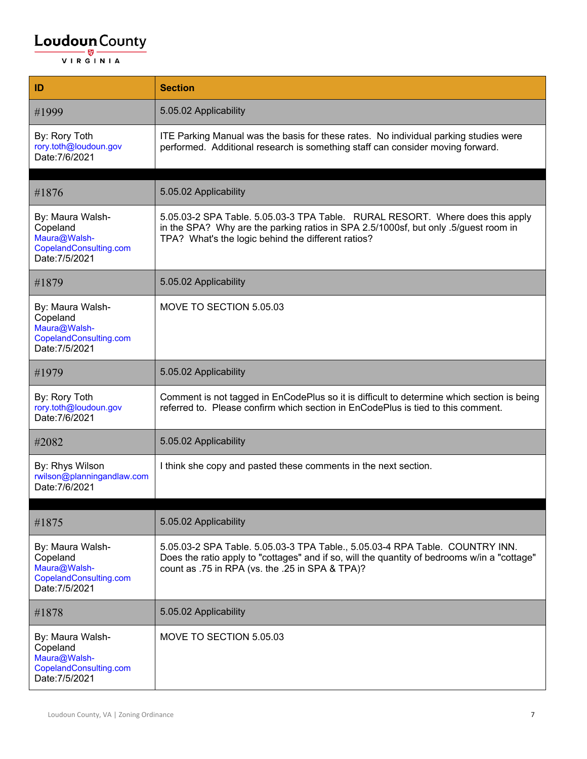| ID                                                                                       | <b>Section</b>                                                                                                                                                                                                                  |
|------------------------------------------------------------------------------------------|---------------------------------------------------------------------------------------------------------------------------------------------------------------------------------------------------------------------------------|
| #1999                                                                                    | 5.05.02 Applicability                                                                                                                                                                                                           |
| By: Rory Toth<br>rory.toth@loudoun.gov<br>Date: 7/6/2021                                 | ITE Parking Manual was the basis for these rates. No individual parking studies were<br>performed. Additional research is something staff can consider moving forward.                                                          |
| #1876                                                                                    | 5.05.02 Applicability                                                                                                                                                                                                           |
| By: Maura Walsh-<br>Copeland<br>Maura@Walsh-<br>CopelandConsulting.com<br>Date: 7/5/2021 | 5.05.03-2 SPA Table. 5.05.03-3 TPA Table. RURAL RESORT. Where does this apply<br>in the SPA? Why are the parking ratios in SPA 2.5/1000sf, but only .5/guest room in<br>TPA? What's the logic behind the different ratios?      |
| #1879                                                                                    | 5.05.02 Applicability                                                                                                                                                                                                           |
| By: Maura Walsh-<br>Copeland<br>Maura@Walsh-<br>CopelandConsulting.com<br>Date: 7/5/2021 | MOVE TO SECTION 5.05.03                                                                                                                                                                                                         |
| #1979                                                                                    | 5.05.02 Applicability                                                                                                                                                                                                           |
| By: Rory Toth<br>rory.toth@loudoun.gov<br>Date: 7/6/2021                                 | Comment is not tagged in EnCodePlus so it is difficult to determine which section is being<br>referred to. Please confirm which section in EnCodePlus is tied to this comment.                                                  |
| #2082                                                                                    | 5.05.02 Applicability                                                                                                                                                                                                           |
| By: Rhys Wilson<br>rwilson@planningandlaw.com<br>Date: 7/6/2021                          | I think she copy and pasted these comments in the next section.                                                                                                                                                                 |
| #1875                                                                                    | 5.05.02 Applicability                                                                                                                                                                                                           |
| By: Maura Walsh-<br>Copeland<br>Maura@Walsh-<br>CopelandConsulting.com<br>Date: 7/5/2021 | 5.05.03-2 SPA Table. 5.05.03-3 TPA Table., 5.05.03-4 RPA Table. COUNTRY INN.<br>Does the ratio apply to "cottages" and if so, will the quantity of bedrooms w/in a "cottage"<br>count as .75 in RPA (vs. the .25 in SPA & TPA)? |
| #1878                                                                                    | 5.05.02 Applicability                                                                                                                                                                                                           |
| By: Maura Walsh-<br>Copeland<br>Maura@Walsh-<br>CopelandConsulting.com<br>Date: 7/5/2021 | MOVE TO SECTION 5.05.03                                                                                                                                                                                                         |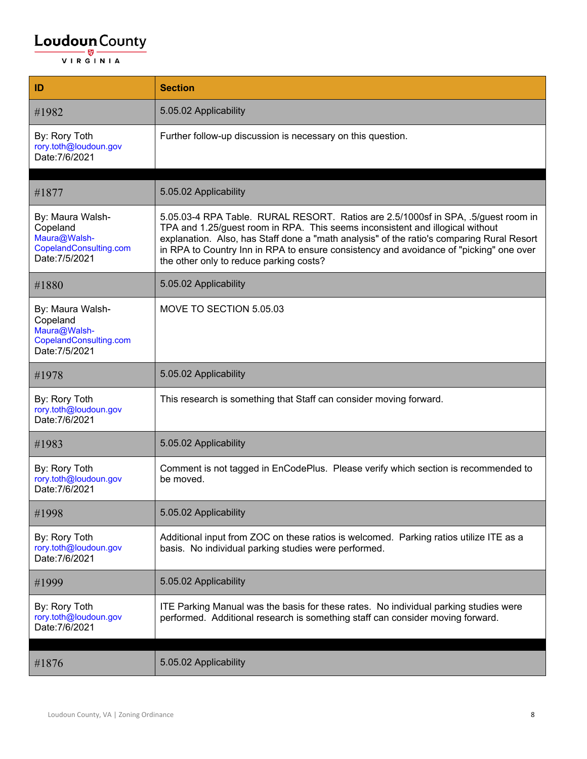| ID                                                                                       | <b>Section</b>                                                                                                                                                                                                                                                                                                                                                                                       |
|------------------------------------------------------------------------------------------|------------------------------------------------------------------------------------------------------------------------------------------------------------------------------------------------------------------------------------------------------------------------------------------------------------------------------------------------------------------------------------------------------|
| #1982                                                                                    | 5.05.02 Applicability                                                                                                                                                                                                                                                                                                                                                                                |
| By: Rory Toth<br>rory.toth@loudoun.gov<br>Date: 7/6/2021                                 | Further follow-up discussion is necessary on this question.                                                                                                                                                                                                                                                                                                                                          |
| #1877                                                                                    | 5.05.02 Applicability                                                                                                                                                                                                                                                                                                                                                                                |
| By: Maura Walsh-<br>Copeland<br>Maura@Walsh-<br>CopelandConsulting.com<br>Date: 7/5/2021 | 5.05.03-4 RPA Table. RURAL RESORT. Ratios are 2.5/1000sf in SPA, .5/guest room in<br>TPA and 1.25/guest room in RPA. This seems inconsistent and illogical without<br>explanation. Also, has Staff done a "math analysis" of the ratio's comparing Rural Resort<br>in RPA to Country Inn in RPA to ensure consistency and avoidance of "picking" one over<br>the other only to reduce parking costs? |
| #1880                                                                                    | 5.05.02 Applicability                                                                                                                                                                                                                                                                                                                                                                                |
| By: Maura Walsh-<br>Copeland<br>Maura@Walsh-<br>CopelandConsulting.com<br>Date: 7/5/2021 | MOVE TO SECTION 5.05.03                                                                                                                                                                                                                                                                                                                                                                              |
| #1978                                                                                    | 5.05.02 Applicability                                                                                                                                                                                                                                                                                                                                                                                |
| By: Rory Toth<br>rory.toth@loudoun.gov<br>Date: 7/6/2021                                 | This research is something that Staff can consider moving forward.                                                                                                                                                                                                                                                                                                                                   |
| #1983                                                                                    | 5.05.02 Applicability                                                                                                                                                                                                                                                                                                                                                                                |
| By: Rory Toth<br>rory.toth@loudoun.gov<br>Date: 7/6/2021                                 | Comment is not tagged in EnCodePlus. Please verify which section is recommended to<br>be moved.                                                                                                                                                                                                                                                                                                      |
| #1998                                                                                    | 5.05.02 Applicability                                                                                                                                                                                                                                                                                                                                                                                |
| By: Rory Toth<br>rory.toth@loudoun.gov<br>Date: 7/6/2021                                 | Additional input from ZOC on these ratios is welcomed. Parking ratios utilize ITE as a<br>basis. No individual parking studies were performed.                                                                                                                                                                                                                                                       |
| #1999                                                                                    | 5.05.02 Applicability                                                                                                                                                                                                                                                                                                                                                                                |
| By: Rory Toth<br>rory.toth@loudoun.gov<br>Date: 7/6/2021                                 | ITE Parking Manual was the basis for these rates. No individual parking studies were<br>performed. Additional research is something staff can consider moving forward.                                                                                                                                                                                                                               |
| #1876                                                                                    | 5.05.02 Applicability                                                                                                                                                                                                                                                                                                                                                                                |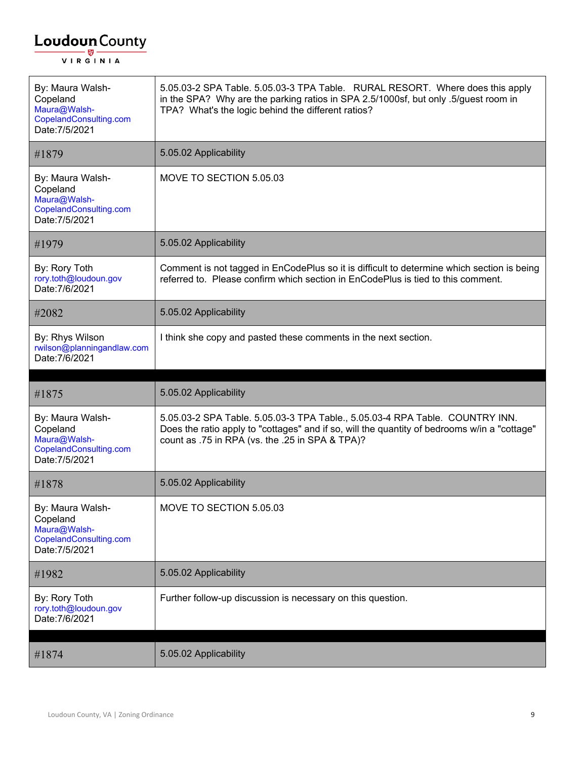| By: Maura Walsh-<br>Copeland<br>Maura@Walsh-<br>CopelandConsulting.com<br>Date: 7/5/2021 | 5.05.03-2 SPA Table. 5.05.03-3 TPA Table. RURAL RESORT. Where does this apply<br>in the SPA? Why are the parking ratios in SPA 2.5/1000sf, but only .5/guest room in<br>TPA? What's the logic behind the different ratios?      |
|------------------------------------------------------------------------------------------|---------------------------------------------------------------------------------------------------------------------------------------------------------------------------------------------------------------------------------|
| #1879                                                                                    | 5.05.02 Applicability                                                                                                                                                                                                           |
| By: Maura Walsh-<br>Copeland<br>Maura@Walsh-<br>CopelandConsulting.com<br>Date: 7/5/2021 | MOVE TO SECTION 5.05.03                                                                                                                                                                                                         |
| #1979                                                                                    | 5.05.02 Applicability                                                                                                                                                                                                           |
| By: Rory Toth<br>rory.toth@loudoun.gov<br>Date: 7/6/2021                                 | Comment is not tagged in EnCodePlus so it is difficult to determine which section is being<br>referred to. Please confirm which section in EnCodePlus is tied to this comment.                                                  |
| #2082                                                                                    | 5.05.02 Applicability                                                                                                                                                                                                           |
| By: Rhys Wilson<br>rwilson@planningandlaw.com<br>Date: 7/6/2021                          | I think she copy and pasted these comments in the next section.                                                                                                                                                                 |
|                                                                                          |                                                                                                                                                                                                                                 |
|                                                                                          |                                                                                                                                                                                                                                 |
| #1875                                                                                    | 5.05.02 Applicability                                                                                                                                                                                                           |
| By: Maura Walsh-<br>Copeland<br>Maura@Walsh-<br>CopelandConsulting.com<br>Date: 7/5/2021 | 5.05.03-2 SPA Table. 5.05.03-3 TPA Table., 5.05.03-4 RPA Table. COUNTRY INN.<br>Does the ratio apply to "cottages" and if so, will the quantity of bedrooms w/in a "cottage"<br>count as .75 in RPA (vs. the .25 in SPA & TPA)? |
| #1878                                                                                    | 5.05.02 Applicability                                                                                                                                                                                                           |
| By: Maura Walsh-<br>Copeland<br>Maura@Walsh-<br>CopelandConsulting.com<br>Date: 7/5/2021 | MOVE TO SECTION 5.05.03                                                                                                                                                                                                         |
| #1982                                                                                    | 5.05.02 Applicability                                                                                                                                                                                                           |
| By: Rory Toth<br>rory.toth@loudoun.gov<br>Date: 7/6/2021                                 | Further follow-up discussion is necessary on this question.                                                                                                                                                                     |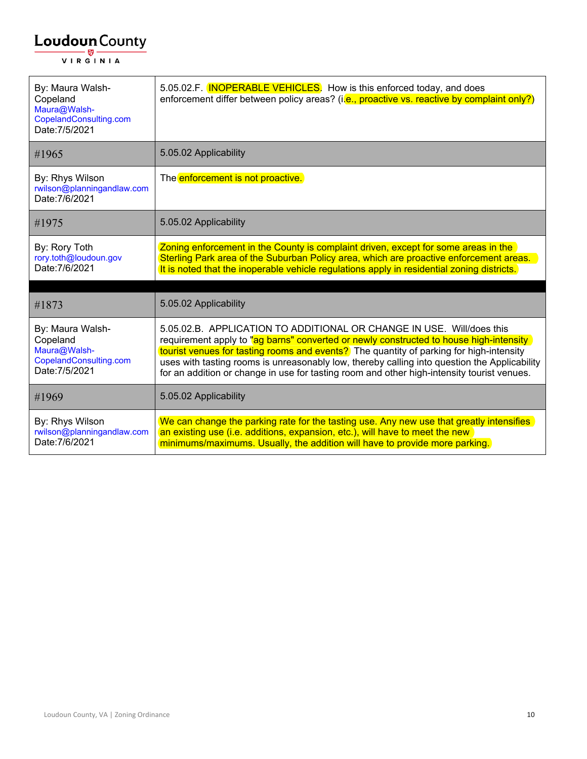| By: Maura Walsh-<br>Copeland<br>Maura@Walsh-<br>CopelandConsulting.com<br>Date: 7/5/2021 | 5.05.02.F. <b>INOPERABLE VEHICLES</b> . How is this enforced today, and does<br>enforcement differ between policy areas? (i.e., proactive vs. reactive by complaint only?)                                                                                                                                                                                                                                                                               |
|------------------------------------------------------------------------------------------|----------------------------------------------------------------------------------------------------------------------------------------------------------------------------------------------------------------------------------------------------------------------------------------------------------------------------------------------------------------------------------------------------------------------------------------------------------|
| #1965                                                                                    | 5.05.02 Applicability                                                                                                                                                                                                                                                                                                                                                                                                                                    |
| By: Rhys Wilson<br>rwilson@planningandlaw.com<br>Date: 7/6/2021                          | The enforcement is not proactive.                                                                                                                                                                                                                                                                                                                                                                                                                        |
| #1975                                                                                    | 5.05.02 Applicability                                                                                                                                                                                                                                                                                                                                                                                                                                    |
| By: Rory Toth<br>rory.toth@loudoun.gov<br>Date: 7/6/2021                                 | Zoning enforcement in the County is complaint driven, except for some areas in the<br>Sterling Park area of the Suburban Policy area, which are proactive enforcement areas.<br>It is noted that the inoperable vehicle regulations apply in residential zoning districts.                                                                                                                                                                               |
| #1873                                                                                    | 5.05.02 Applicability                                                                                                                                                                                                                                                                                                                                                                                                                                    |
| By: Maura Walsh-<br>Copeland<br>Maura@Walsh-<br>CopelandConsulting.com<br>Date: 7/5/2021 | 5.05.02.B. APPLICATION TO ADDITIONAL OR CHANGE IN USE. Will/does this<br>requirement apply to "ag barns" converted or newly constructed to house high-intensity<br>tourist venues for tasting rooms and events? The quantity of parking for high-intensity<br>uses with tasting rooms is unreasonably low, thereby calling into question the Applicability<br>for an addition or change in use for tasting room and other high-intensity tourist venues. |
| #1969                                                                                    | 5.05.02 Applicability                                                                                                                                                                                                                                                                                                                                                                                                                                    |
| By: Rhys Wilson<br>rwilson@planningandlaw.com<br>Date: 7/6/2021                          | We can change the parking rate for the tasting use. Any new use that greatly intensifies<br>an existing use (i.e. additions, expansion, etc.), will have to meet the new<br>minimums/maximums. Usually, the addition will have to provide more parking.                                                                                                                                                                                                  |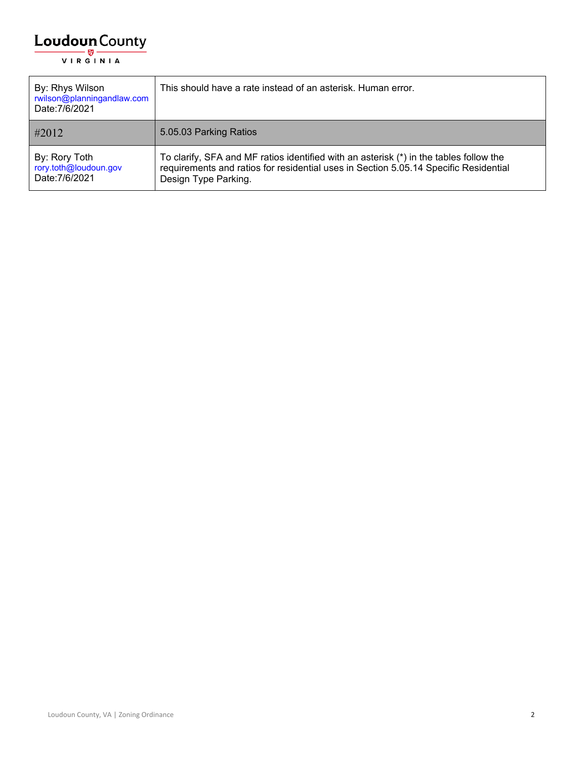| By: Rhys Wilson<br>rwilson@planningandlaw.com<br>Date: 7/6/2021 | This should have a rate instead of an asterisk. Human error.                                                                                                                                             |
|-----------------------------------------------------------------|----------------------------------------------------------------------------------------------------------------------------------------------------------------------------------------------------------|
| #2012                                                           | 5.05.03 Parking Ratios                                                                                                                                                                                   |
| By: Rory Toth<br>rory.toth@loudoun.gov<br>Date: 7/6/2021        | To clarify, SFA and MF ratios identified with an asterisk $(*)$ in the tables follow the<br>requirements and ratios for residential uses in Section 5.05.14 Specific Residential<br>Design Type Parking. |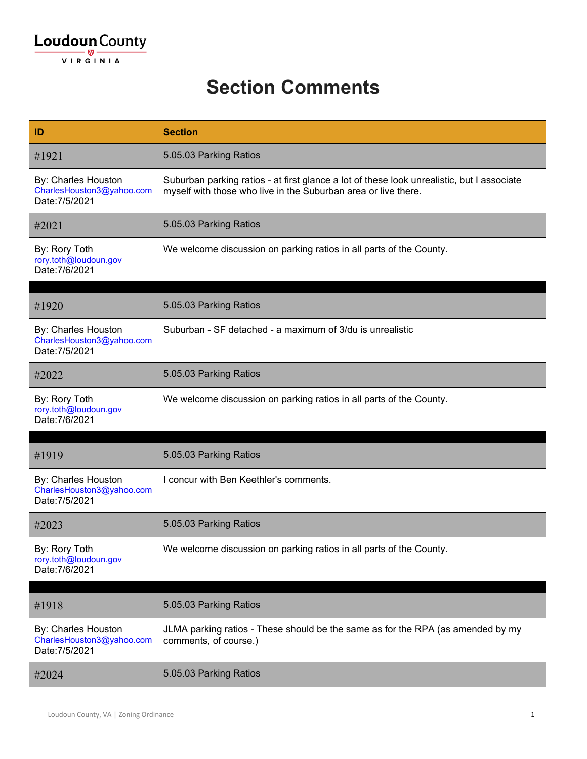#### **Section Comments**

| ID                                                                 | <b>Section</b>                                                                                                                                               |
|--------------------------------------------------------------------|--------------------------------------------------------------------------------------------------------------------------------------------------------------|
| #1921                                                              | 5.05.03 Parking Ratios                                                                                                                                       |
| By: Charles Houston<br>CharlesHouston3@yahoo.com<br>Date: 7/5/2021 | Suburban parking ratios - at first glance a lot of these look unrealistic, but I associate<br>myself with those who live in the Suburban area or live there. |
| #2021                                                              | 5.05.03 Parking Ratios                                                                                                                                       |
| By: Rory Toth<br>rory.toth@loudoun.gov<br>Date: 7/6/2021           | We welcome discussion on parking ratios in all parts of the County.                                                                                          |
|                                                                    |                                                                                                                                                              |
| #1920                                                              | 5.05.03 Parking Ratios                                                                                                                                       |
| By: Charles Houston<br>CharlesHouston3@yahoo.com<br>Date: 7/5/2021 | Suburban - SF detached - a maximum of 3/du is unrealistic                                                                                                    |
| #2022                                                              | 5.05.03 Parking Ratios                                                                                                                                       |
| By: Rory Toth<br>rory.toth@loudoun.gov<br>Date: 7/6/2021           | We welcome discussion on parking ratios in all parts of the County.                                                                                          |
|                                                                    |                                                                                                                                                              |
| #1919                                                              | 5.05.03 Parking Ratios                                                                                                                                       |
| By: Charles Houston<br>CharlesHouston3@yahoo.com<br>Date: 7/5/2021 | I concur with Ben Keethler's comments.                                                                                                                       |
| #2023                                                              | 5.05.03 Parking Ratios                                                                                                                                       |
| By: Rory Toth<br>rory.toth@loudoun.gov<br>Date: 7/6/2021           | We welcome discussion on parking ratios in all parts of the County.                                                                                          |
|                                                                    | 5.05.03 Parking Ratios                                                                                                                                       |
| #1918                                                              |                                                                                                                                                              |
| By: Charles Houston<br>CharlesHouston3@yahoo.com<br>Date: 7/5/2021 | JLMA parking ratios - These should be the same as for the RPA (as amended by my<br>comments, of course.)                                                     |
| #2024                                                              | 5.05.03 Parking Ratios                                                                                                                                       |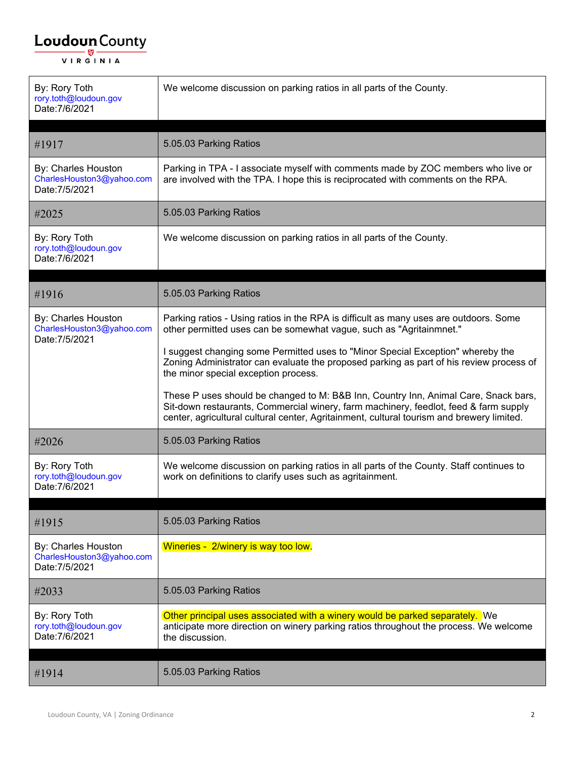| By: Rory Toth<br>rory.toth@loudoun.gov<br>Date: 7/6/2021           | We welcome discussion on parking ratios in all parts of the County.                                                                                                                                                                                                      |
|--------------------------------------------------------------------|--------------------------------------------------------------------------------------------------------------------------------------------------------------------------------------------------------------------------------------------------------------------------|
| #1917                                                              | 5.05.03 Parking Ratios                                                                                                                                                                                                                                                   |
| By: Charles Houston<br>CharlesHouston3@yahoo.com<br>Date: 7/5/2021 | Parking in TPA - I associate myself with comments made by ZOC members who live or<br>are involved with the TPA. I hope this is reciprocated with comments on the RPA.                                                                                                    |
| #2025                                                              | 5.05.03 Parking Ratios                                                                                                                                                                                                                                                   |
| By: Rory Toth<br>rory.toth@loudoun.gov<br>Date: 7/6/2021           | We welcome discussion on parking ratios in all parts of the County.                                                                                                                                                                                                      |
| #1916                                                              | 5.05.03 Parking Ratios                                                                                                                                                                                                                                                   |
| By: Charles Houston<br>CharlesHouston3@yahoo.com<br>Date: 7/5/2021 | Parking ratios - Using ratios in the RPA is difficult as many uses are outdoors. Some<br>other permitted uses can be somewhat vague, such as "Agritainmnet."                                                                                                             |
|                                                                    | I suggest changing some Permitted uses to "Minor Special Exception" whereby the<br>Zoning Administrator can evaluate the proposed parking as part of his review process of<br>the minor special exception process.                                                       |
|                                                                    | These P uses should be changed to M: B&B Inn, Country Inn, Animal Care, Snack bars,<br>Sit-down restaurants, Commercial winery, farm machinery, feedlot, feed & farm supply<br>center, agricultural cultural center, Agritainment, cultural tourism and brewery limited. |
| #2026                                                              | 5.05.03 Parking Ratios                                                                                                                                                                                                                                                   |
| By: Rory Toth<br>rory.toth@loudoun.gov<br>Date: 7/6/2021           | We welcome discussion on parking ratios in all parts of the County. Staff continues to<br>work on definitions to clarify uses such as agritainment.                                                                                                                      |
| #1915                                                              | 5.05.03 Parking Ratios                                                                                                                                                                                                                                                   |
| By: Charles Houston<br>CharlesHouston3@yahoo.com<br>Date: 7/5/2021 | Wineries - 2/winery is way too low.                                                                                                                                                                                                                                      |
| #2033                                                              | 5.05.03 Parking Ratios                                                                                                                                                                                                                                                   |
| By: Rory Toth<br>rory.toth@loudoun.gov<br>Date: 7/6/2021           | Other principal uses associated with a winery would be parked separately. We<br>anticipate more direction on winery parking ratios throughout the process. We welcome<br>the discussion.                                                                                 |
| #1914                                                              | 5.05.03 Parking Ratios                                                                                                                                                                                                                                                   |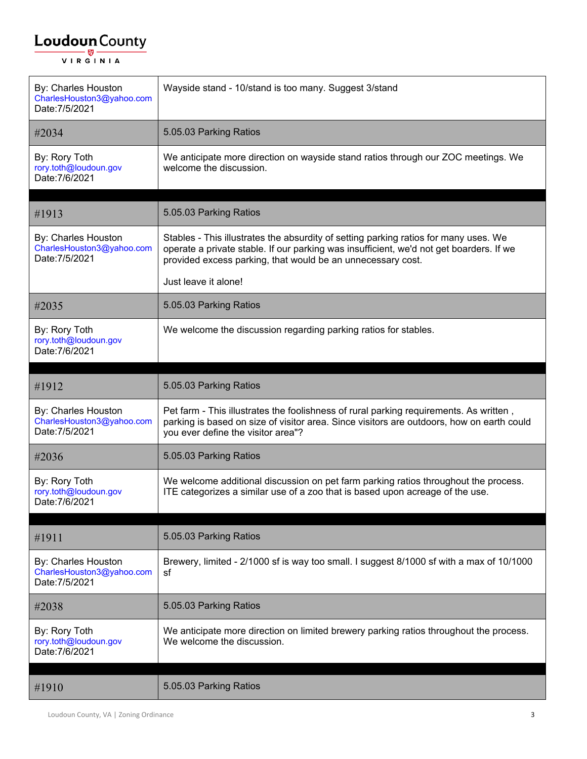| By: Charles Houston<br>CharlesHouston3@yahoo.com<br>Date: 7/5/2021 | Wayside stand - 10/stand is too many. Suggest 3/stand                                                                                                                                                                                          |
|--------------------------------------------------------------------|------------------------------------------------------------------------------------------------------------------------------------------------------------------------------------------------------------------------------------------------|
| #2034                                                              | 5.05.03 Parking Ratios                                                                                                                                                                                                                         |
| By: Rory Toth<br>rory.toth@loudoun.gov<br>Date: 7/6/2021           | We anticipate more direction on wayside stand ratios through our ZOC meetings. We<br>welcome the discussion.                                                                                                                                   |
|                                                                    | 5.05.03 Parking Ratios                                                                                                                                                                                                                         |
| #1913                                                              |                                                                                                                                                                                                                                                |
| By: Charles Houston<br>CharlesHouston3@yahoo.com<br>Date: 7/5/2021 | Stables - This illustrates the absurdity of setting parking ratios for many uses. We<br>operate a private stable. If our parking was insufficient, we'd not get boarders. If we<br>provided excess parking, that would be an unnecessary cost. |
|                                                                    | Just leave it alone!                                                                                                                                                                                                                           |
| #2035                                                              | 5.05.03 Parking Ratios                                                                                                                                                                                                                         |
| By: Rory Toth<br>rory.toth@loudoun.gov<br>Date: 7/6/2021           | We welcome the discussion regarding parking ratios for stables.                                                                                                                                                                                |
| #1912                                                              | 5.05.03 Parking Ratios                                                                                                                                                                                                                         |
| By: Charles Houston<br>CharlesHouston3@yahoo.com<br>Date: 7/5/2021 | Pet farm - This illustrates the foolishness of rural parking requirements. As written,<br>parking is based on size of visitor area. Since visitors are outdoors, how on earth could<br>you ever define the visitor area"?                      |
| #2036                                                              | 5.05.03 Parking Ratios                                                                                                                                                                                                                         |
| By: Rory Toth<br>rory.toth@loudoun.gov<br>Date: 7/6/2021           | We welcome additional discussion on pet farm parking ratios throughout the process.<br>ITE categorizes a similar use of a zoo that is based upon acreage of the use.                                                                           |
|                                                                    | 5.05.03 Parking Ratios                                                                                                                                                                                                                         |
| #1911                                                              |                                                                                                                                                                                                                                                |
| By: Charles Houston<br>CharlesHouston3@yahoo.com<br>Date: 7/5/2021 | Brewery, limited - 2/1000 sf is way too small. I suggest 8/1000 sf with a max of 10/1000<br>sf                                                                                                                                                 |
| #2038                                                              | 5.05.03 Parking Ratios                                                                                                                                                                                                                         |
| By: Rory Toth<br>rory.toth@loudoun.gov<br>Date: 7/6/2021           | We anticipate more direction on limited brewery parking ratios throughout the process.<br>We welcome the discussion.                                                                                                                           |
| #1910                                                              | 5.05.03 Parking Ratios                                                                                                                                                                                                                         |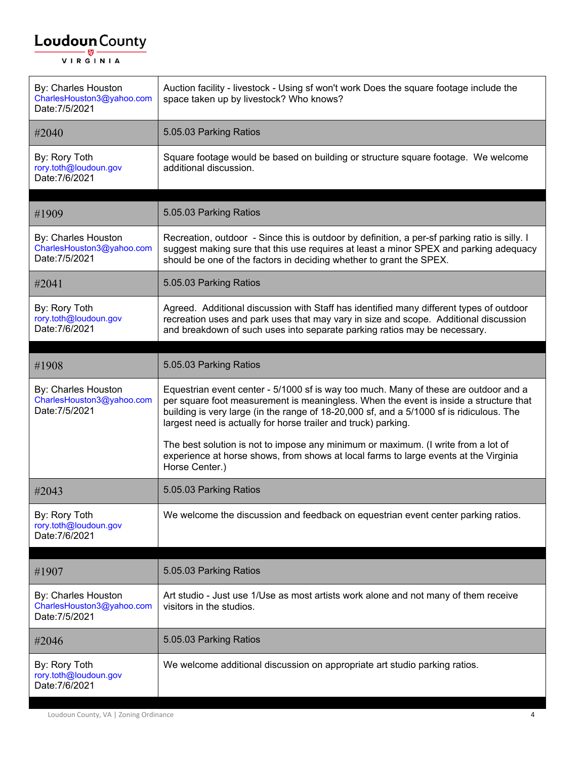| By: Charles Houston<br>CharlesHouston3@yahoo.com<br>Date: 7/5/2021 | Auction facility - livestock - Using sf won't work Does the square footage include the<br>space taken up by livestock? Who knows?                                                                                                                                                                                                           |
|--------------------------------------------------------------------|---------------------------------------------------------------------------------------------------------------------------------------------------------------------------------------------------------------------------------------------------------------------------------------------------------------------------------------------|
| #2040                                                              | 5.05.03 Parking Ratios                                                                                                                                                                                                                                                                                                                      |
| By: Rory Toth<br>rory.toth@loudoun.gov<br>Date: 7/6/2021           | Square footage would be based on building or structure square footage. We welcome<br>additional discussion.                                                                                                                                                                                                                                 |
| #1909                                                              | 5.05.03 Parking Ratios                                                                                                                                                                                                                                                                                                                      |
| By: Charles Houston<br>CharlesHouston3@yahoo.com<br>Date: 7/5/2021 | Recreation, outdoor - Since this is outdoor by definition, a per-sf parking ratio is silly. I<br>suggest making sure that this use requires at least a minor SPEX and parking adequacy<br>should be one of the factors in deciding whether to grant the SPEX.                                                                               |
| #2041                                                              | 5.05.03 Parking Ratios                                                                                                                                                                                                                                                                                                                      |
| By: Rory Toth<br>rory.toth@loudoun.gov<br>Date: 7/6/2021           | Agreed. Additional discussion with Staff has identified many different types of outdoor<br>recreation uses and park uses that may vary in size and scope. Additional discussion<br>and breakdown of such uses into separate parking ratios may be necessary.                                                                                |
| #1908                                                              | 5.05.03 Parking Ratios                                                                                                                                                                                                                                                                                                                      |
| By: Charles Houston<br>CharlesHouston3@yahoo.com<br>Date: 7/5/2021 | Equestrian event center - 5/1000 sf is way too much. Many of these are outdoor and a<br>per square foot measurement is meaningless. When the event is inside a structure that<br>building is very large (in the range of 18-20,000 sf, and a 5/1000 sf is ridiculous. The<br>largest need is actually for horse trailer and truck) parking. |
|                                                                    | The best solution is not to impose any minimum or maximum. (I write from a lot of<br>experience at horse shows, from shows at local farms to large events at the Virginia<br>Horse Center.)                                                                                                                                                 |
| #2043                                                              | 5.05.03 Parking Ratios                                                                                                                                                                                                                                                                                                                      |
| By: Rory Toth<br>rory.toth@loudoun.gov<br>Date: 7/6/2021           | We welcome the discussion and feedback on equestrian event center parking ratios.                                                                                                                                                                                                                                                           |
| #1907                                                              | 5.05.03 Parking Ratios                                                                                                                                                                                                                                                                                                                      |
| By: Charles Houston<br>CharlesHouston3@yahoo.com<br>Date: 7/5/2021 | Art studio - Just use 1/Use as most artists work alone and not many of them receive<br>visitors in the studios.                                                                                                                                                                                                                             |
| #2046                                                              | 5.05.03 Parking Ratios                                                                                                                                                                                                                                                                                                                      |
| By: Rory Toth<br>rory.toth@loudoun.gov<br>Date: 7/6/2021           | We welcome additional discussion on appropriate art studio parking ratios.                                                                                                                                                                                                                                                                  |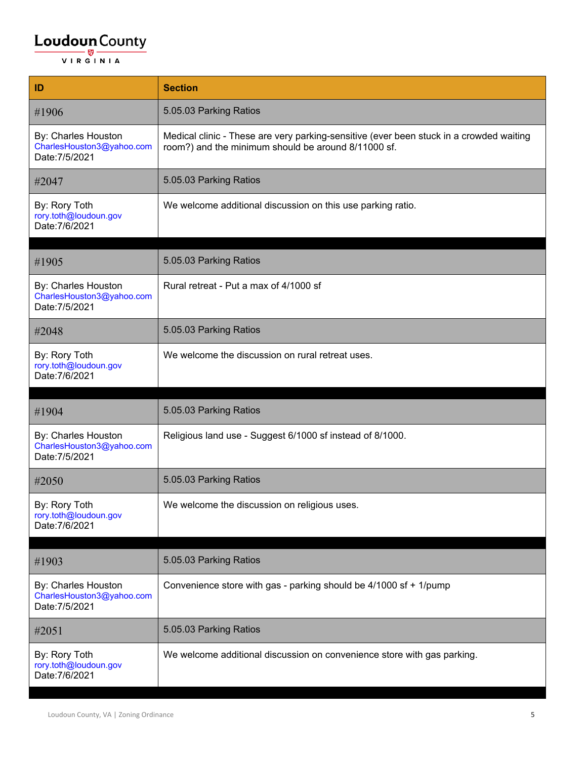| ID                                                                 | <b>Section</b>                                                                                                                                 |
|--------------------------------------------------------------------|------------------------------------------------------------------------------------------------------------------------------------------------|
| #1906                                                              | 5.05.03 Parking Ratios                                                                                                                         |
| By: Charles Houston<br>CharlesHouston3@yahoo.com<br>Date: 7/5/2021 | Medical clinic - These are very parking-sensitive (ever been stuck in a crowded waiting<br>room?) and the minimum should be around 8/11000 sf. |
| #2047                                                              | 5.05.03 Parking Ratios                                                                                                                         |
| By: Rory Toth<br>rory.toth@loudoun.gov<br>Date: 7/6/2021           | We welcome additional discussion on this use parking ratio.                                                                                    |
| #1905                                                              | 5.05.03 Parking Ratios                                                                                                                         |
| By: Charles Houston<br>CharlesHouston3@yahoo.com<br>Date: 7/5/2021 | Rural retreat - Put a max of 4/1000 sf                                                                                                         |
| #2048                                                              | 5.05.03 Parking Ratios                                                                                                                         |
| By: Rory Toth<br>rory.toth@loudoun.gov<br>Date: 7/6/2021           | We welcome the discussion on rural retreat uses.                                                                                               |
| #1904                                                              | 5.05.03 Parking Ratios                                                                                                                         |
| By: Charles Houston<br>CharlesHouston3@yahoo.com<br>Date: 7/5/2021 | Religious land use - Suggest 6/1000 sf instead of 8/1000.                                                                                      |
| #2050                                                              | 5.05.03 Parking Ratios                                                                                                                         |
| By: Rory Toth<br>rory.toth@loudoun.gov<br>Date: 7/6/2021           | We welcome the discussion on religious uses.                                                                                                   |
| #1903                                                              | 5.05.03 Parking Ratios                                                                                                                         |
| By: Charles Houston<br>CharlesHouston3@yahoo.com<br>Date: 7/5/2021 | Convenience store with gas - parking should be 4/1000 sf + 1/pump                                                                              |
| #2051                                                              | 5.05.03 Parking Ratios                                                                                                                         |
| By: Rory Toth                                                      |                                                                                                                                                |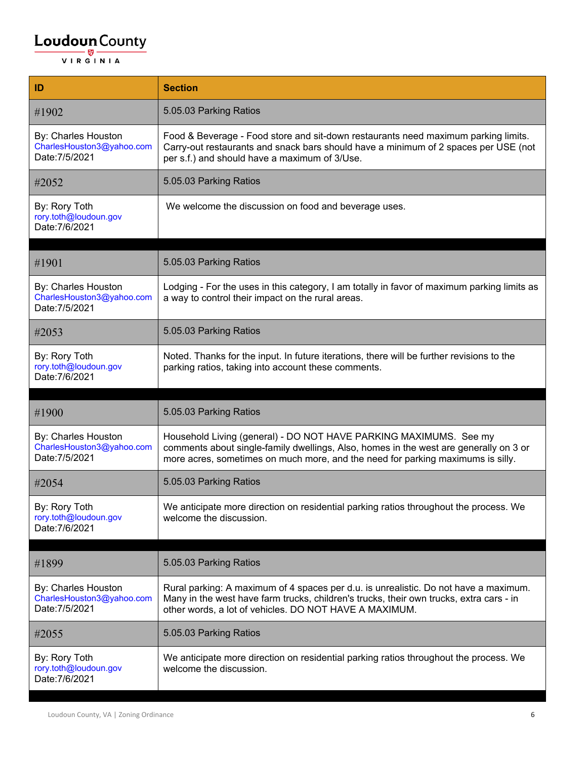| ID                                                                 | <b>Section</b>                                                                                                                                                                                                                                |
|--------------------------------------------------------------------|-----------------------------------------------------------------------------------------------------------------------------------------------------------------------------------------------------------------------------------------------|
| #1902                                                              | 5.05.03 Parking Ratios                                                                                                                                                                                                                        |
| By: Charles Houston<br>CharlesHouston3@yahoo.com<br>Date: 7/5/2021 | Food & Beverage - Food store and sit-down restaurants need maximum parking limits.<br>Carry-out restaurants and snack bars should have a minimum of 2 spaces per USE (not<br>per s.f.) and should have a maximum of 3/Use.                    |
| #2052                                                              | 5.05.03 Parking Ratios                                                                                                                                                                                                                        |
| By: Rory Toth<br>rory.toth@loudoun.gov<br>Date: 7/6/2021           | We welcome the discussion on food and beverage uses.                                                                                                                                                                                          |
| #1901                                                              | 5.05.03 Parking Ratios                                                                                                                                                                                                                        |
|                                                                    |                                                                                                                                                                                                                                               |
| By: Charles Houston<br>CharlesHouston3@yahoo.com<br>Date: 7/5/2021 | Lodging - For the uses in this category, I am totally in favor of maximum parking limits as<br>a way to control their impact on the rural areas.                                                                                              |
| #2053                                                              | 5.05.03 Parking Ratios                                                                                                                                                                                                                        |
| By: Rory Toth<br>rory.toth@loudoun.gov<br>Date: 7/6/2021           | Noted. Thanks for the input. In future iterations, there will be further revisions to the<br>parking ratios, taking into account these comments.                                                                                              |
|                                                                    |                                                                                                                                                                                                                                               |
| #1900                                                              | 5.05.03 Parking Ratios                                                                                                                                                                                                                        |
| By: Charles Houston<br>CharlesHouston3@yahoo.com<br>Date: 7/5/2021 | Household Living (general) - DO NOT HAVE PARKING MAXIMUMS. See my<br>comments about single-family dwellings, Also, homes in the west are generally on 3 or<br>more acres, sometimes on much more, and the need for parking maximums is silly. |
| #2054                                                              | 5.05.03 Parking Ratios                                                                                                                                                                                                                        |
| By: Rory Toth<br>rory.toth@loudoun.gov<br>Date: 7/6/2021           | We anticipate more direction on residential parking ratios throughout the process. We<br>welcome the discussion.                                                                                                                              |
| #1899                                                              | 5.05.03 Parking Ratios                                                                                                                                                                                                                        |
| By: Charles Houston<br>CharlesHouston3@yahoo.com<br>Date: 7/5/2021 | Rural parking: A maximum of 4 spaces per d.u. is unrealistic. Do not have a maximum.<br>Many in the west have farm trucks, children's trucks, their own trucks, extra cars - in<br>other words, a lot of vehicles. DO NOT HAVE A MAXIMUM.     |
|                                                                    |                                                                                                                                                                                                                                               |
| #2055                                                              | 5.05.03 Parking Ratios                                                                                                                                                                                                                        |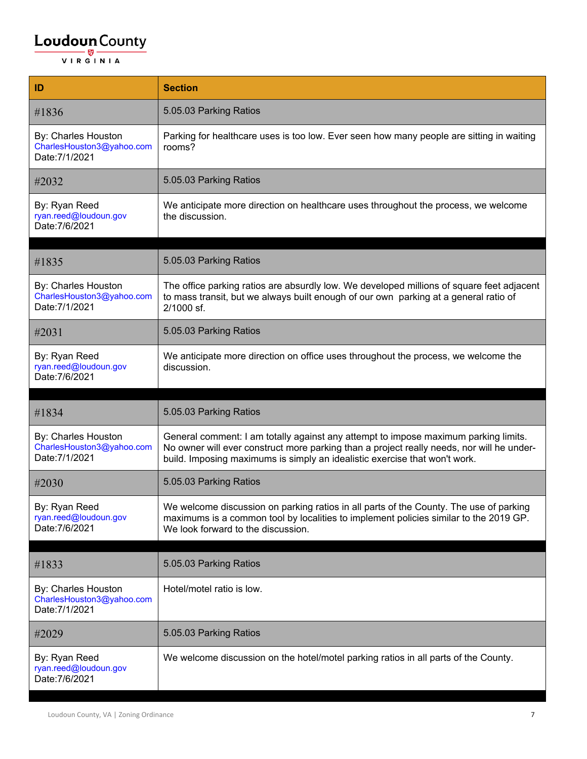| ID                                                                 | <b>Section</b>                                                                                                                                                                                                                                                 |
|--------------------------------------------------------------------|----------------------------------------------------------------------------------------------------------------------------------------------------------------------------------------------------------------------------------------------------------------|
| #1836                                                              | 5.05.03 Parking Ratios                                                                                                                                                                                                                                         |
| By: Charles Houston<br>CharlesHouston3@yahoo.com<br>Date: 7/1/2021 | Parking for healthcare uses is too low. Ever seen how many people are sitting in waiting<br>rooms?                                                                                                                                                             |
| #2032                                                              | 5.05.03 Parking Ratios                                                                                                                                                                                                                                         |
| By: Ryan Reed<br>ryan.reed@loudoun.gov<br>Date: 7/6/2021           | We anticipate more direction on healthcare uses throughout the process, we welcome<br>the discussion.                                                                                                                                                          |
| #1835                                                              | 5.05.03 Parking Ratios                                                                                                                                                                                                                                         |
| By: Charles Houston<br>CharlesHouston3@yahoo.com<br>Date: 7/1/2021 | The office parking ratios are absurdly low. We developed millions of square feet adjacent<br>to mass transit, but we always built enough of our own parking at a general ratio of<br>2/1000 sf.                                                                |
| #2031                                                              | 5.05.03 Parking Ratios                                                                                                                                                                                                                                         |
| By: Ryan Reed<br>ryan.reed@loudoun.gov<br>Date: 7/6/2021           | We anticipate more direction on office uses throughout the process, we welcome the<br>discussion.                                                                                                                                                              |
|                                                                    |                                                                                                                                                                                                                                                                |
| #1834                                                              | 5.05.03 Parking Ratios                                                                                                                                                                                                                                         |
| By: Charles Houston<br>CharlesHouston3@yahoo.com<br>Date: 7/1/2021 | General comment: I am totally against any attempt to impose maximum parking limits.<br>No owner will ever construct more parking than a project really needs, nor will he under-<br>build. Imposing maximums is simply an idealistic exercise that won't work. |
| #2030                                                              | 5.05.03 Parking Ratios                                                                                                                                                                                                                                         |
| By: Ryan Reed<br>ryan.reed@loudoun.gov<br>Date: 7/6/2021           | We welcome discussion on parking ratios in all parts of the County. The use of parking<br>maximums is a common tool by localities to implement policies similar to the 2019 GP.<br>We look forward to the discussion.                                          |
| #1833                                                              | 5.05.03 Parking Ratios                                                                                                                                                                                                                                         |
| By: Charles Houston<br>CharlesHouston3@yahoo.com<br>Date: 7/1/2021 | Hotel/motel ratio is low.                                                                                                                                                                                                                                      |
| #2029                                                              | 5.05.03 Parking Ratios                                                                                                                                                                                                                                         |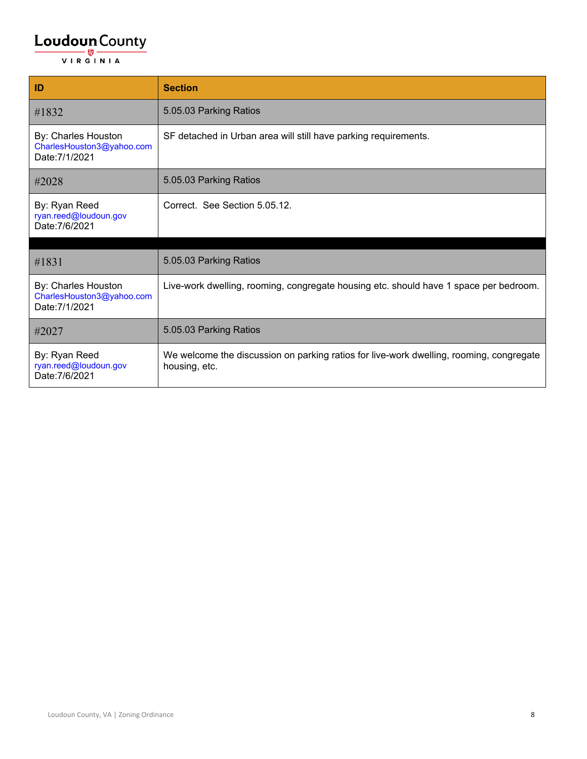| ID                                                                 | <b>Section</b>                                                                                           |
|--------------------------------------------------------------------|----------------------------------------------------------------------------------------------------------|
| #1832                                                              | 5.05.03 Parking Ratios                                                                                   |
| By: Charles Houston<br>CharlesHouston3@yahoo.com<br>Date: 7/1/2021 | SF detached in Urban area will still have parking requirements.                                          |
| #2028                                                              | 5.05.03 Parking Ratios                                                                                   |
| By: Ryan Reed<br>ryan.reed@loudoun.gov<br>Date: 7/6/2021           | Correct. See Section 5.05.12.                                                                            |
| #1831                                                              | 5.05.03 Parking Ratios                                                                                   |
| By: Charles Houston<br>CharlesHouston3@yahoo.com<br>Date: 7/1/2021 | Live-work dwelling, rooming, congregate housing etc. should have 1 space per bedroom.                    |
| #2027                                                              | 5.05.03 Parking Ratios                                                                                   |
| By: Ryan Reed<br>ryan.reed@loudoun.gov<br>Date: 7/6/2021           | We welcome the discussion on parking ratios for live-work dwelling, rooming, congregate<br>housing, etc. |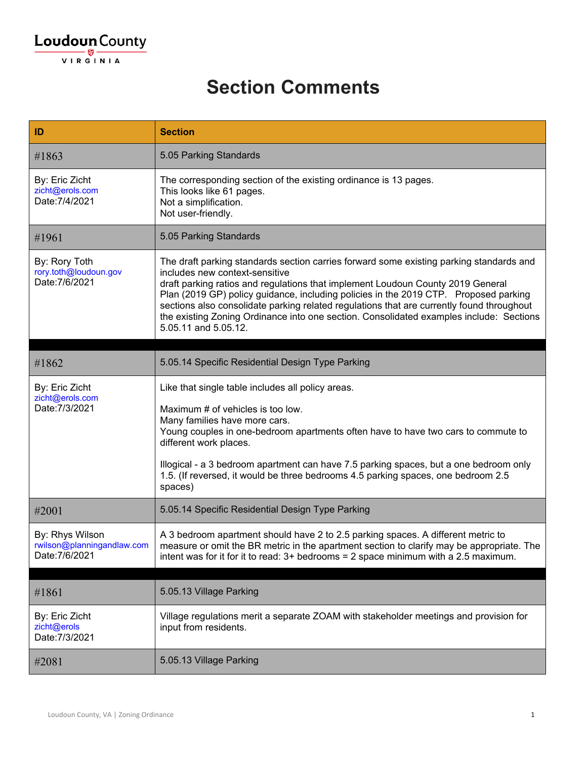#### **Section Comments**

| ID                                                              | <b>Section</b>                                                                                                                                                                                                                                                                                                                                                                                                                                                                                                       |
|-----------------------------------------------------------------|----------------------------------------------------------------------------------------------------------------------------------------------------------------------------------------------------------------------------------------------------------------------------------------------------------------------------------------------------------------------------------------------------------------------------------------------------------------------------------------------------------------------|
| #1863                                                           | 5.05 Parking Standards                                                                                                                                                                                                                                                                                                                                                                                                                                                                                               |
| By: Eric Zicht<br>zicht@erols.com<br>Date: 7/4/2021             | The corresponding section of the existing ordinance is 13 pages.<br>This looks like 61 pages.<br>Not a simplification.<br>Not user-friendly.                                                                                                                                                                                                                                                                                                                                                                         |
| #1961                                                           | 5.05 Parking Standards                                                                                                                                                                                                                                                                                                                                                                                                                                                                                               |
| By: Rory Toth<br>rory.toth@loudoun.gov<br>Date: 7/6/2021        | The draft parking standards section carries forward some existing parking standards and<br>includes new context-sensitive<br>draft parking ratios and regulations that implement Loudoun County 2019 General<br>Plan (2019 GP) policy guidance, including policies in the 2019 CTP. Proposed parking<br>sections also consolidate parking related regulations that are currently found throughout<br>the existing Zoning Ordinance into one section. Consolidated examples include: Sections<br>5.05.11 and 5.05.12. |
| #1862                                                           | 5.05.14 Specific Residential Design Type Parking                                                                                                                                                                                                                                                                                                                                                                                                                                                                     |
| By: Eric Zicht<br>zicht@erols.com<br>Date: 7/3/2021             | Like that single table includes all policy areas.<br>Maximum # of vehicles is too low.<br>Many families have more cars.<br>Young couples in one-bedroom apartments often have to have two cars to commute to<br>different work places.<br>Illogical - a 3 bedroom apartment can have 7.5 parking spaces, but a one bedroom only<br>1.5. (If reversed, it would be three bedrooms 4.5 parking spaces, one bedroom 2.5<br>spaces)                                                                                      |
| #2001                                                           | 5.05.14 Specific Residential Design Type Parking                                                                                                                                                                                                                                                                                                                                                                                                                                                                     |
| By: Rhys Wilson<br>rwilson@planningandlaw.com<br>Date: 7/6/2021 | A 3 bedroom apartment should have 2 to 2.5 parking spaces. A different metric to<br>measure or omit the BR metric in the apartment section to clarify may be appropriate. The<br>intent was for it for it to read: $3+$ bedrooms = 2 space minimum with a 2.5 maximum.                                                                                                                                                                                                                                               |
|                                                                 |                                                                                                                                                                                                                                                                                                                                                                                                                                                                                                                      |
| #1861                                                           | 5.05.13 Village Parking                                                                                                                                                                                                                                                                                                                                                                                                                                                                                              |
| By: Eric Zicht<br>zicht@erols<br>Date: 7/3/2021                 | Village regulations merit a separate ZOAM with stakeholder meetings and provision for<br>input from residents.                                                                                                                                                                                                                                                                                                                                                                                                       |
| #2081                                                           | 5.05.13 Village Parking                                                                                                                                                                                                                                                                                                                                                                                                                                                                                              |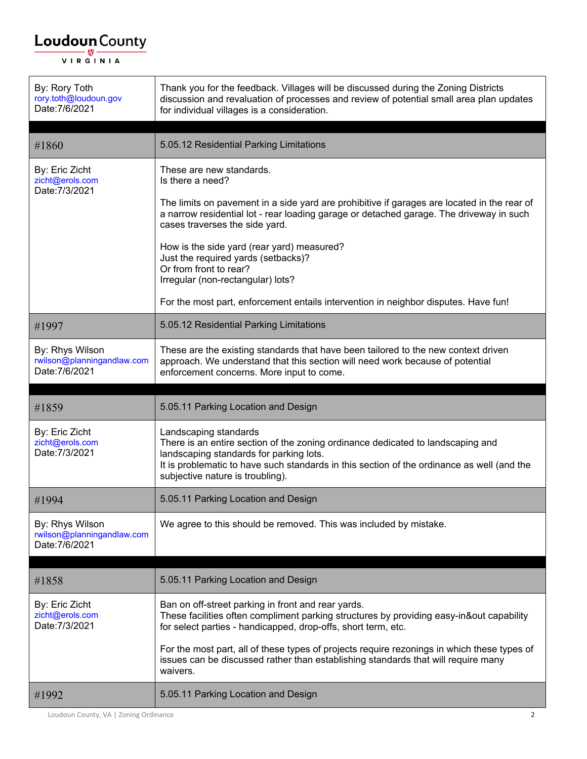| By: Rory Toth<br>rory.toth@loudoun.gov<br>Date: 7/6/2021        | Thank you for the feedback. Villages will be discussed during the Zoning Districts<br>discussion and revaluation of processes and review of potential small area plan updates<br>for individual villages is a consideration.                                                                                                                                                                                                                                                                                        |
|-----------------------------------------------------------------|---------------------------------------------------------------------------------------------------------------------------------------------------------------------------------------------------------------------------------------------------------------------------------------------------------------------------------------------------------------------------------------------------------------------------------------------------------------------------------------------------------------------|
| #1860                                                           | 5.05.12 Residential Parking Limitations                                                                                                                                                                                                                                                                                                                                                                                                                                                                             |
| By: Eric Zicht<br>zicht@erols.com<br>Date: 7/3/2021             | These are new standards.<br>Is there a need?<br>The limits on pavement in a side yard are prohibitive if garages are located in the rear of<br>a narrow residential lot - rear loading garage or detached garage. The driveway in such<br>cases traverses the side yard.<br>How is the side yard (rear yard) measured?<br>Just the required yards (setbacks)?<br>Or from front to rear?<br>Irregular (non-rectangular) lots?<br>For the most part, enforcement entails intervention in neighbor disputes. Have fun! |
| #1997                                                           | 5.05.12 Residential Parking Limitations                                                                                                                                                                                                                                                                                                                                                                                                                                                                             |
| By: Rhys Wilson<br>rwilson@planningandlaw.com<br>Date: 7/6/2021 | These are the existing standards that have been tailored to the new context driven<br>approach. We understand that this section will need work because of potential<br>enforcement concerns. More input to come.                                                                                                                                                                                                                                                                                                    |
|                                                                 |                                                                                                                                                                                                                                                                                                                                                                                                                                                                                                                     |
| #1859                                                           | 5.05.11 Parking Location and Design                                                                                                                                                                                                                                                                                                                                                                                                                                                                                 |
| By: Eric Zicht<br>zicht@erols.com<br>Date: 7/3/2021             | Landscaping standards<br>There is an entire section of the zoning ordinance dedicated to landscaping and<br>landscaping standards for parking lots.<br>It is problematic to have such standards in this section of the ordinance as well (and the<br>subjective nature is troubling).                                                                                                                                                                                                                               |
| #1994                                                           | 5.05.11 Parking Location and Design                                                                                                                                                                                                                                                                                                                                                                                                                                                                                 |
| By: Rhys Wilson<br>rwilson@planningandlaw.com<br>Date: 7/6/2021 | We agree to this should be removed. This was included by mistake.                                                                                                                                                                                                                                                                                                                                                                                                                                                   |
| #1858                                                           | 5.05.11 Parking Location and Design                                                                                                                                                                                                                                                                                                                                                                                                                                                                                 |
| By: Eric Zicht<br>zicht@erols.com<br>Date: 7/3/2021             | Ban on off-street parking in front and rear yards.<br>These facilities often compliment parking structures by providing easy-in&out capability<br>for select parties - handicapped, drop-offs, short term, etc.<br>For the most part, all of these types of projects require rezonings in which these types of<br>issues can be discussed rather than establishing standards that will require many<br>waivers.                                                                                                     |

Loudoun County, VA | Zoning Ordinance 2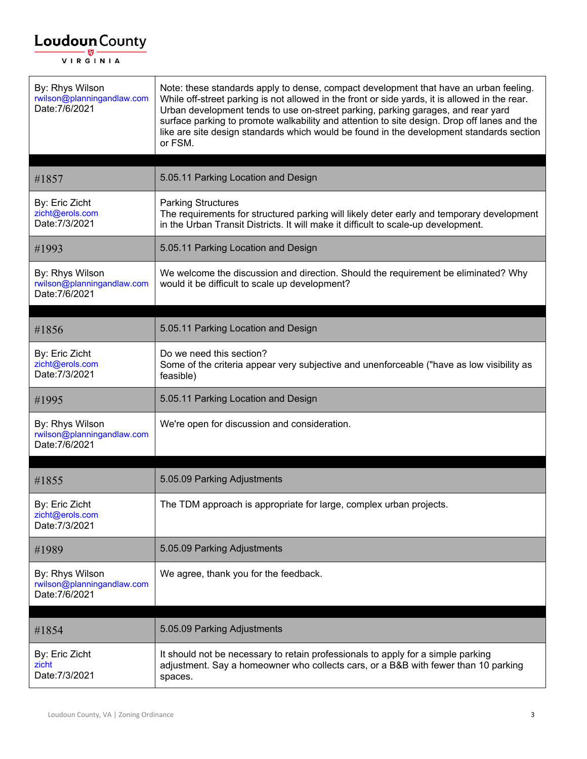| By: Rhys Wilson<br>rwilson@planningandlaw.com<br>Date: 7/6/2021 | Note: these standards apply to dense, compact development that have an urban feeling.<br>While off-street parking is not allowed in the front or side yards, it is allowed in the rear.<br>Urban development tends to use on-street parking, parking garages, and rear yard<br>surface parking to promote walkability and attention to site design. Drop off lanes and the<br>like are site design standards which would be found in the development standards section<br>or FSM. |
|-----------------------------------------------------------------|-----------------------------------------------------------------------------------------------------------------------------------------------------------------------------------------------------------------------------------------------------------------------------------------------------------------------------------------------------------------------------------------------------------------------------------------------------------------------------------|
| #1857                                                           | 5.05.11 Parking Location and Design                                                                                                                                                                                                                                                                                                                                                                                                                                               |
| By: Eric Zicht<br>zicht@erols.com<br>Date: 7/3/2021             | <b>Parking Structures</b><br>The requirements for structured parking will likely deter early and temporary development<br>in the Urban Transit Districts. It will make it difficult to scale-up development.                                                                                                                                                                                                                                                                      |
| #1993                                                           | 5.05.11 Parking Location and Design                                                                                                                                                                                                                                                                                                                                                                                                                                               |
| By: Rhys Wilson<br>rwilson@planningandlaw.com<br>Date: 7/6/2021 | We welcome the discussion and direction. Should the requirement be eliminated? Why<br>would it be difficult to scale up development?                                                                                                                                                                                                                                                                                                                                              |
| #1856                                                           | 5.05.11 Parking Location and Design                                                                                                                                                                                                                                                                                                                                                                                                                                               |
| By: Eric Zicht<br>zicht@erols.com<br>Date: 7/3/2021             | Do we need this section?<br>Some of the criteria appear very subjective and unenforceable ("have as low visibility as<br>feasible)                                                                                                                                                                                                                                                                                                                                                |
| #1995                                                           | 5.05.11 Parking Location and Design                                                                                                                                                                                                                                                                                                                                                                                                                                               |
|                                                                 |                                                                                                                                                                                                                                                                                                                                                                                                                                                                                   |
| By: Rhys Wilson<br>rwilson@planningandlaw.com<br>Date: 7/6/2021 | We're open for discussion and consideration.                                                                                                                                                                                                                                                                                                                                                                                                                                      |
| #1855                                                           | 5.05.09 Parking Adjustments                                                                                                                                                                                                                                                                                                                                                                                                                                                       |
| By: Eric Zicht<br>zicht@erols.com<br>Date: 7/3/2021             | The TDM approach is appropriate for large, complex urban projects.                                                                                                                                                                                                                                                                                                                                                                                                                |
| #1989                                                           | 5.05.09 Parking Adjustments                                                                                                                                                                                                                                                                                                                                                                                                                                                       |
| By: Rhys Wilson<br>rwilson@planningandlaw.com<br>Date: 7/6/2021 | We agree, thank you for the feedback.                                                                                                                                                                                                                                                                                                                                                                                                                                             |
| #1854                                                           | 5.05.09 Parking Adjustments                                                                                                                                                                                                                                                                                                                                                                                                                                                       |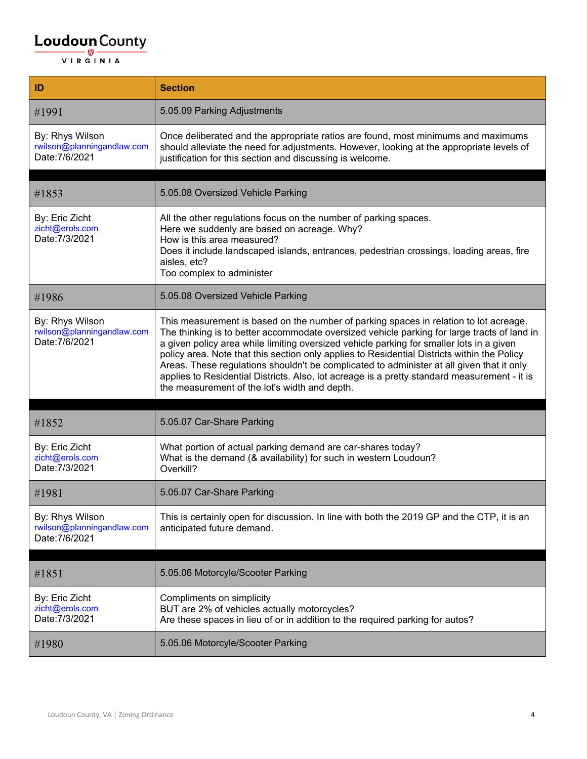| ID                                                              | <b>Section</b>                                                                                                                                                                                                                                                                                                                                                                                                                                                                                                                                                                                                                |
|-----------------------------------------------------------------|-------------------------------------------------------------------------------------------------------------------------------------------------------------------------------------------------------------------------------------------------------------------------------------------------------------------------------------------------------------------------------------------------------------------------------------------------------------------------------------------------------------------------------------------------------------------------------------------------------------------------------|
| #1991                                                           | 5.05.09 Parking Adjustments                                                                                                                                                                                                                                                                                                                                                                                                                                                                                                                                                                                                   |
| By: Rhys Wilson<br>rwilson@planningandlaw.com<br>Date: 7/6/2021 | Once deliberated and the appropriate ratios are found, most minimums and maximums<br>should alleviate the need for adjustments. However, looking at the appropriate levels of<br>justification for this section and discussing is welcome.                                                                                                                                                                                                                                                                                                                                                                                    |
|                                                                 |                                                                                                                                                                                                                                                                                                                                                                                                                                                                                                                                                                                                                               |
| #1853                                                           | 5.05.08 Oversized Vehicle Parking                                                                                                                                                                                                                                                                                                                                                                                                                                                                                                                                                                                             |
| By: Eric Zicht<br>zicht@erols.com<br>Date: 7/3/2021             | All the other regulations focus on the number of parking spaces.<br>Here we suddenly are based on acreage. Why?<br>How is this area measured?<br>Does it include landscaped islands, entrances, pedestrian crossings, loading areas, fire<br>aisles, etc?<br>Too complex to administer                                                                                                                                                                                                                                                                                                                                        |
| #1986                                                           | 5.05.08 Oversized Vehicle Parking                                                                                                                                                                                                                                                                                                                                                                                                                                                                                                                                                                                             |
| By: Rhys Wilson<br>rwilson@planningandlaw.com<br>Date: 7/6/2021 | This measurement is based on the number of parking spaces in relation to lot acreage.<br>The thinking is to better accommodate oversized vehicle parking for large tracts of land in<br>a given policy area while limiting oversized vehicle parking for smaller lots in a given<br>policy area. Note that this section only applies to Residential Districts within the Policy<br>Areas. These regulations shouldn't be complicated to administer at all given that it only<br>applies to Residential Districts. Also, lot acreage is a pretty standard measurement - it is<br>the measurement of the lot's width and depth. |
|                                                                 |                                                                                                                                                                                                                                                                                                                                                                                                                                                                                                                                                                                                                               |
| #1852                                                           | 5.05.07 Car-Share Parking                                                                                                                                                                                                                                                                                                                                                                                                                                                                                                                                                                                                     |
| By: Eric Zicht<br>zicht@erols.com<br>Date: 7/3/2021             | What portion of actual parking demand are car-shares today?<br>What is the demand (& availability) for such in western Loudoun?<br>Overkill?                                                                                                                                                                                                                                                                                                                                                                                                                                                                                  |
| #1981                                                           | 5.05.07 Car-Share Parking                                                                                                                                                                                                                                                                                                                                                                                                                                                                                                                                                                                                     |
| By: Rhys Wilson<br>rwilson@planningandlaw.com<br>Date: 7/6/2021 | This is certainly open for discussion. In line with both the 2019 GP and the CTP, it is an<br>anticipated future demand.                                                                                                                                                                                                                                                                                                                                                                                                                                                                                                      |
|                                                                 |                                                                                                                                                                                                                                                                                                                                                                                                                                                                                                                                                                                                                               |
| #1851                                                           | 5.05.06 Motorcyle/Scooter Parking                                                                                                                                                                                                                                                                                                                                                                                                                                                                                                                                                                                             |
| By: Eric Zicht<br>zicht@erols.com<br>Date: 7/3/2021             | Compliments on simplicity<br>BUT are 2% of vehicles actually motorcycles?<br>Are these spaces in lieu of or in addition to the required parking for autos?                                                                                                                                                                                                                                                                                                                                                                                                                                                                    |
| #1980                                                           | 5.05.06 Motorcyle/Scooter Parking                                                                                                                                                                                                                                                                                                                                                                                                                                                                                                                                                                                             |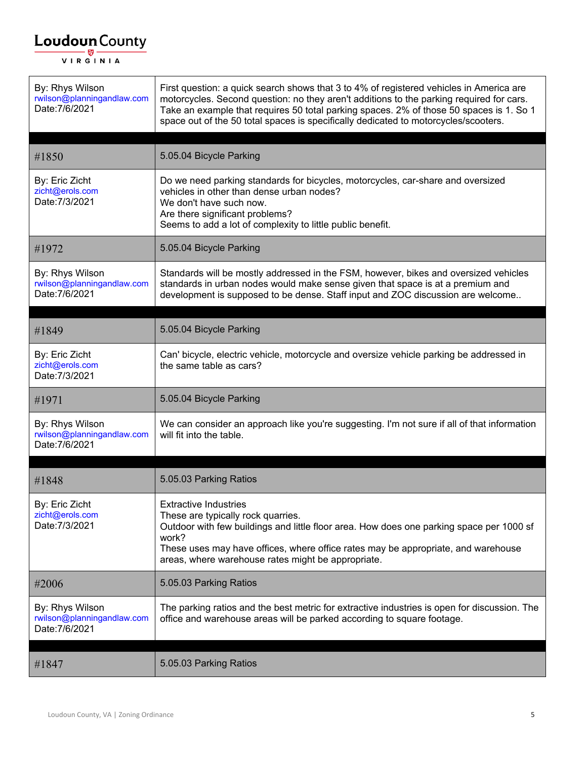| By: Rhys Wilson<br>rwilson@planningandlaw.com<br>Date: 7/6/2021 | First question: a quick search shows that 3 to 4% of registered vehicles in America are<br>motorcycles. Second question: no they aren't additions to the parking required for cars.<br>Take an example that requires 50 total parking spaces. 2% of those 50 spaces is 1. So 1<br>space out of the 50 total spaces is specifically dedicated to motorcycles/scooters. |
|-----------------------------------------------------------------|-----------------------------------------------------------------------------------------------------------------------------------------------------------------------------------------------------------------------------------------------------------------------------------------------------------------------------------------------------------------------|
| #1850                                                           | 5.05.04 Bicycle Parking                                                                                                                                                                                                                                                                                                                                               |
| By: Eric Zicht<br>zicht@erols.com<br>Date: 7/3/2021             | Do we need parking standards for bicycles, motorcycles, car-share and oversized<br>vehicles in other than dense urban nodes?<br>We don't have such now.<br>Are there significant problems?<br>Seems to add a lot of complexity to little public benefit.                                                                                                              |
| #1972                                                           | 5.05.04 Bicycle Parking                                                                                                                                                                                                                                                                                                                                               |
| By: Rhys Wilson<br>rwilson@planningandlaw.com<br>Date: 7/6/2021 | Standards will be mostly addressed in the FSM, however, bikes and oversized vehicles<br>standards in urban nodes would make sense given that space is at a premium and<br>development is supposed to be dense. Staff input and ZOC discussion are welcome                                                                                                             |
| #1849                                                           | 5.05.04 Bicycle Parking                                                                                                                                                                                                                                                                                                                                               |
| By: Eric Zicht<br>zicht@erols.com<br>Date: 7/3/2021             | Can' bicycle, electric vehicle, motorcycle and oversize vehicle parking be addressed in<br>the same table as cars?                                                                                                                                                                                                                                                    |
| #1971                                                           | 5.05.04 Bicycle Parking                                                                                                                                                                                                                                                                                                                                               |
| By: Rhys Wilson<br>rwilson@planningandlaw.com<br>Date: 7/6/2021 | We can consider an approach like you're suggesting. I'm not sure if all of that information<br>will fit into the table.                                                                                                                                                                                                                                               |
| #1848                                                           | 5.05.03 Parking Ratios                                                                                                                                                                                                                                                                                                                                                |
| By: Eric Zicht<br>zicht@erols.com<br>Date: 7/3/2021             | <b>Extractive Industries</b><br>These are typically rock quarries.<br>Outdoor with few buildings and little floor area. How does one parking space per 1000 sf<br>work?<br>These uses may have offices, where office rates may be appropriate, and warehouse<br>areas, where warehouse rates might be appropriate.                                                    |
| #2006                                                           | 5.05.03 Parking Ratios                                                                                                                                                                                                                                                                                                                                                |
| By: Rhys Wilson<br>rwilson@planningandlaw.com<br>Date: 7/6/2021 | The parking ratios and the best metric for extractive industries is open for discussion. The<br>office and warehouse areas will be parked according to square footage.                                                                                                                                                                                                |
| #1847                                                           | 5.05.03 Parking Ratios                                                                                                                                                                                                                                                                                                                                                |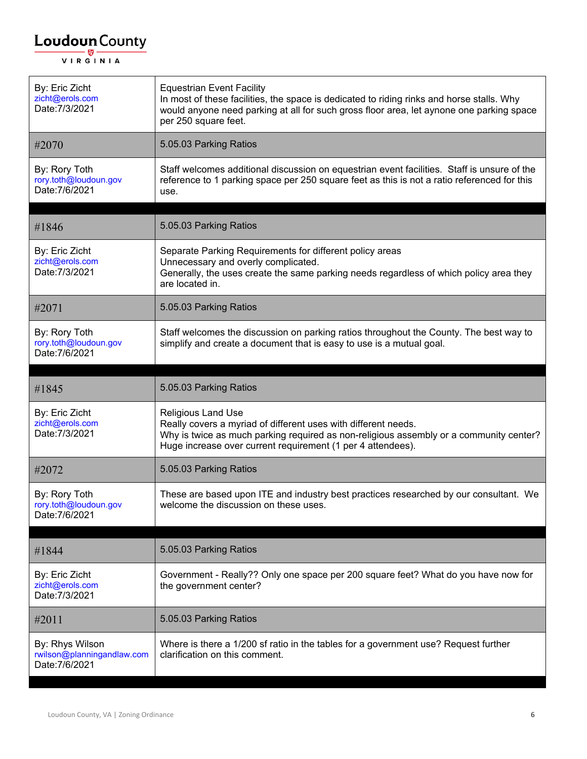| By: Eric Zicht<br>zicht@erols.com<br>Date: 7/3/2021             | <b>Equestrian Event Facility</b><br>In most of these facilities, the space is dedicated to riding rinks and horse stalls. Why<br>would anyone need parking at all for such gross floor area, let aynone one parking space<br>per 250 square feet.    |
|-----------------------------------------------------------------|------------------------------------------------------------------------------------------------------------------------------------------------------------------------------------------------------------------------------------------------------|
| #2070                                                           | 5.05.03 Parking Ratios                                                                                                                                                                                                                               |
| By: Rory Toth<br>rory.toth@loudoun.gov<br>Date: 7/6/2021        | Staff welcomes additional discussion on equestrian event facilities. Staff is unsure of the<br>reference to 1 parking space per 250 square feet as this is not a ratio referenced for this<br>use.                                                   |
| #1846                                                           | 5.05.03 Parking Ratios                                                                                                                                                                                                                               |
| By: Eric Zicht<br>zicht@erols.com<br>Date: 7/3/2021             | Separate Parking Requirements for different policy areas<br>Unnecessary and overly complicated.<br>Generally, the uses create the same parking needs regardless of which policy area they<br>are located in.                                         |
| #2071                                                           | 5.05.03 Parking Ratios                                                                                                                                                                                                                               |
| By: Rory Toth<br>rory.toth@loudoun.gov<br>Date: 7/6/2021        | Staff welcomes the discussion on parking ratios throughout the County. The best way to<br>simplify and create a document that is easy to use is a mutual goal.                                                                                       |
|                                                                 |                                                                                                                                                                                                                                                      |
| #1845                                                           | 5.05.03 Parking Ratios                                                                                                                                                                                                                               |
| By: Eric Zicht<br>zicht@erols.com<br>Date: 7/3/2021             | <b>Religious Land Use</b><br>Really covers a myriad of different uses with different needs.<br>Why is twice as much parking required as non-religious assembly or a community center?<br>Huge increase over current requirement (1 per 4 attendees). |
| #2072                                                           | 5.05.03 Parking Ratios                                                                                                                                                                                                                               |
| By: Rory Toth<br>rory.toth@loudoun.gov<br>Date: 7/6/2021        | These are based upon ITE and industry best practices researched by our consultant. We<br>welcome the discussion on these uses.                                                                                                                       |
|                                                                 | 5.05.03 Parking Ratios                                                                                                                                                                                                                               |
| #1844                                                           |                                                                                                                                                                                                                                                      |
| By: Eric Zicht<br>zicht@erols.com<br>Date: 7/3/2021             | Government - Really?? Only one space per 200 square feet? What do you have now for<br>the government center?                                                                                                                                         |
| #2011                                                           | 5.05.03 Parking Ratios                                                                                                                                                                                                                               |
| By: Rhys Wilson<br>rwilson@planningandlaw.com<br>Date: 7/6/2021 | Where is there a 1/200 sf ratio in the tables for a government use? Request further<br>clarification on this comment.                                                                                                                                |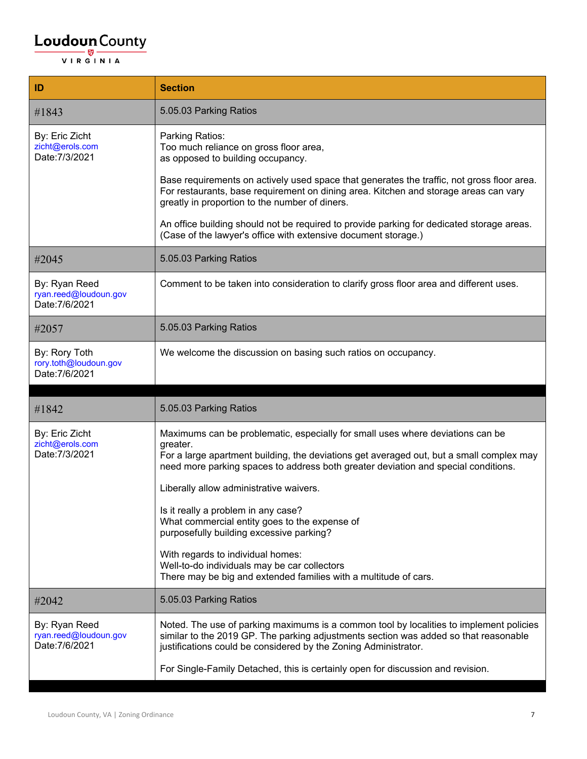| ID                                                       | <b>Section</b>                                                                                                                                                                                                                                                                                                                                                                                                                                              |
|----------------------------------------------------------|-------------------------------------------------------------------------------------------------------------------------------------------------------------------------------------------------------------------------------------------------------------------------------------------------------------------------------------------------------------------------------------------------------------------------------------------------------------|
| #1843                                                    | 5.05.03 Parking Ratios                                                                                                                                                                                                                                                                                                                                                                                                                                      |
| By: Eric Zicht<br>zicht@erols.com<br>Date: 7/3/2021      | Parking Ratios:<br>Too much reliance on gross floor area,<br>as opposed to building occupancy.                                                                                                                                                                                                                                                                                                                                                              |
|                                                          | Base requirements on actively used space that generates the traffic, not gross floor area.<br>For restaurants, base requirement on dining area. Kitchen and storage areas can vary<br>greatly in proportion to the number of diners.                                                                                                                                                                                                                        |
|                                                          | An office building should not be required to provide parking for dedicated storage areas.<br>(Case of the lawyer's office with extensive document storage.)                                                                                                                                                                                                                                                                                                 |
| #2045                                                    | 5.05.03 Parking Ratios                                                                                                                                                                                                                                                                                                                                                                                                                                      |
| By: Ryan Reed<br>ryan.reed@loudoun.gov<br>Date: 7/6/2021 | Comment to be taken into consideration to clarify gross floor area and different uses.                                                                                                                                                                                                                                                                                                                                                                      |
| #2057                                                    | 5.05.03 Parking Ratios                                                                                                                                                                                                                                                                                                                                                                                                                                      |
| By: Rory Toth<br>rory.toth@loudoun.gov<br>Date: 7/6/2021 | We welcome the discussion on basing such ratios on occupancy.                                                                                                                                                                                                                                                                                                                                                                                               |
|                                                          |                                                                                                                                                                                                                                                                                                                                                                                                                                                             |
| #1842                                                    | 5.05.03 Parking Ratios                                                                                                                                                                                                                                                                                                                                                                                                                                      |
| By: Eric Zicht<br>zicht@erols.com<br>Date: 7/3/2021      | Maximums can be problematic, especially for small uses where deviations can be<br>greater.<br>For a large apartment building, the deviations get averaged out, but a small complex may<br>need more parking spaces to address both greater deviation and special conditions.<br>Liberally allow administrative waivers.<br>Is it really a problem in any case?<br>What commercial entity goes to the expense of<br>purposefully building excessive parking? |
|                                                          | With regards to individual homes:<br>Well-to-do individuals may be car collectors<br>There may be big and extended families with a multitude of cars.                                                                                                                                                                                                                                                                                                       |
| #2042                                                    | 5.05.03 Parking Ratios                                                                                                                                                                                                                                                                                                                                                                                                                                      |
| By: Ryan Reed<br>ryan.reed@loudoun.gov<br>Date: 7/6/2021 | Noted. The use of parking maximums is a common tool by localities to implement policies<br>similar to the 2019 GP. The parking adjustments section was added so that reasonable<br>justifications could be considered by the Zoning Administrator.                                                                                                                                                                                                          |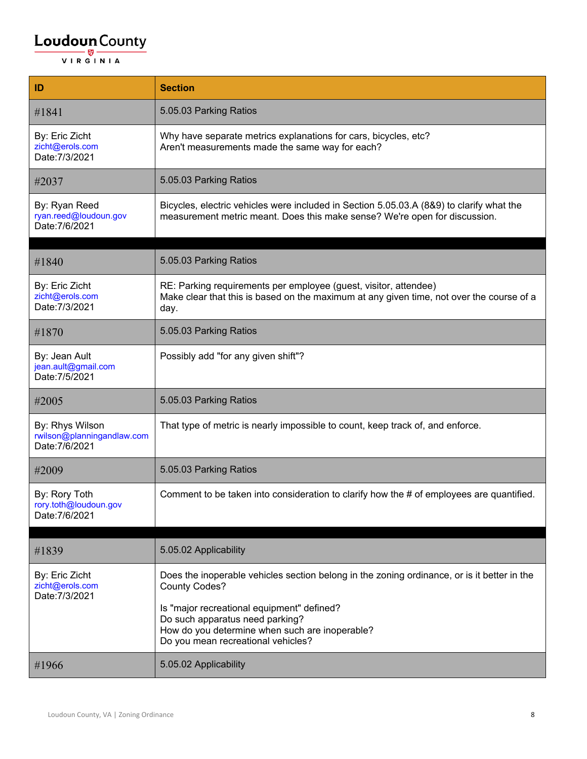| ID                                                              | <b>Section</b>                                                                                                                                                         |
|-----------------------------------------------------------------|------------------------------------------------------------------------------------------------------------------------------------------------------------------------|
| #1841                                                           | 5.05.03 Parking Ratios                                                                                                                                                 |
| By: Eric Zicht<br>zicht@erols.com<br>Date: 7/3/2021             | Why have separate metrics explanations for cars, bicycles, etc?<br>Aren't measurements made the same way for each?                                                     |
| #2037                                                           | 5.05.03 Parking Ratios                                                                                                                                                 |
| By: Ryan Reed<br>ryan.reed@loudoun.gov<br>Date: 7/6/2021        | Bicycles, electric vehicles were included in Section 5.05.03.A (8&9) to clarify what the<br>measurement metric meant. Does this make sense? We're open for discussion. |
|                                                                 |                                                                                                                                                                        |
| #1840                                                           | 5.05.03 Parking Ratios                                                                                                                                                 |
| By: Eric Zicht<br>zicht@erols.com<br>Date: 7/3/2021             | RE: Parking requirements per employee (guest, visitor, attendee)<br>Make clear that this is based on the maximum at any given time, not over the course of a<br>day.   |
| #1870                                                           | 5.05.03 Parking Ratios                                                                                                                                                 |
| By: Jean Ault<br>jean.ault@gmail.com<br>Date: 7/5/2021          | Possibly add "for any given shift"?                                                                                                                                    |
| #2005                                                           | 5.05.03 Parking Ratios                                                                                                                                                 |
| By: Rhys Wilson<br>rwilson@planningandlaw.com<br>Date: 7/6/2021 | That type of metric is nearly impossible to count, keep track of, and enforce.                                                                                         |
| #2009                                                           | 5.05.03 Parking Ratios                                                                                                                                                 |
| By: Rory Toth<br>rory.toth@loudoun.gov<br>Date: 7/6/2021        | Comment to be taken into consideration to clarify how the # of employees are quantified.                                                                               |
|                                                                 |                                                                                                                                                                        |
| #1839                                                           | 5.05.02 Applicability                                                                                                                                                  |
| By: Eric Zicht<br>zicht@erols.com<br>Date: 7/3/2021             | Does the inoperable vehicles section belong in the zoning ordinance, or is it better in the<br><b>County Codes?</b>                                                    |
|                                                                 | Is "major recreational equipment" defined?<br>Do such apparatus need parking?<br>How do you determine when such are inoperable?<br>Do you mean recreational vehicles?  |
| #1966                                                           | 5.05.02 Applicability                                                                                                                                                  |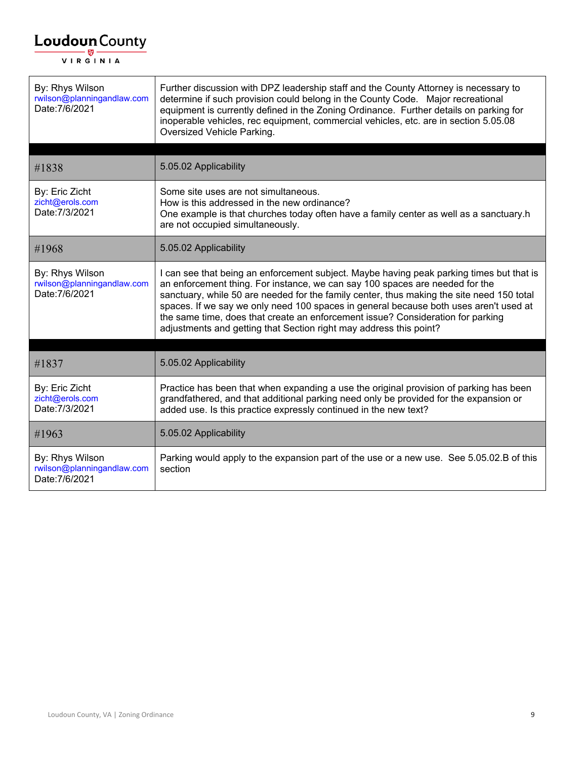$\mathsf{r}$ 

| By: Rhys Wilson<br>rwilson@planningandlaw.com<br>Date: 7/6/2021 | Further discussion with DPZ leadership staff and the County Attorney is necessary to<br>determine if such provision could belong in the County Code. Major recreational<br>equipment is currently defined in the Zoning Ordinance. Further details on parking for<br>inoperable vehicles, rec equipment, commercial vehicles, etc. are in section 5.05.08<br>Oversized Vehicle Parking.                                                                                                                                 |
|-----------------------------------------------------------------|-------------------------------------------------------------------------------------------------------------------------------------------------------------------------------------------------------------------------------------------------------------------------------------------------------------------------------------------------------------------------------------------------------------------------------------------------------------------------------------------------------------------------|
|                                                                 |                                                                                                                                                                                                                                                                                                                                                                                                                                                                                                                         |
| #1838                                                           | 5.05.02 Applicability                                                                                                                                                                                                                                                                                                                                                                                                                                                                                                   |
| By: Eric Zicht<br>zicht@erols.com<br>Date: 7/3/2021             | Some site uses are not simultaneous.<br>How is this addressed in the new ordinance?<br>One example is that churches today often have a family center as well as a sanctuary.h<br>are not occupied simultaneously.                                                                                                                                                                                                                                                                                                       |
| #1968                                                           | 5.05.02 Applicability                                                                                                                                                                                                                                                                                                                                                                                                                                                                                                   |
| By: Rhys Wilson<br>rwilson@planningandlaw.com<br>Date: 7/6/2021 | I can see that being an enforcement subject. Maybe having peak parking times but that is<br>an enforcement thing. For instance, we can say 100 spaces are needed for the<br>sanctuary, while 50 are needed for the family center, thus making the site need 150 total<br>spaces. If we say we only need 100 spaces in general because both uses aren't used at<br>the same time, does that create an enforcement issue? Consideration for parking<br>adjustments and getting that Section right may address this point? |
| #1837                                                           | 5.05.02 Applicability                                                                                                                                                                                                                                                                                                                                                                                                                                                                                                   |
| By: Eric Zicht<br>zicht@erols.com<br>Date: 7/3/2021             | Practice has been that when expanding a use the original provision of parking has been<br>grandfathered, and that additional parking need only be provided for the expansion or<br>added use. Is this practice expressly continued in the new text?                                                                                                                                                                                                                                                                     |
| #1963                                                           | 5.05.02 Applicability                                                                                                                                                                                                                                                                                                                                                                                                                                                                                                   |
| By: Rhys Wilson<br>rwilson@planningandlaw.com<br>Date: 7/6/2021 | Parking would apply to the expansion part of the use or a new use. See 5.05.02.B of this<br>section                                                                                                                                                                                                                                                                                                                                                                                                                     |

 $\overline{\phantom{0}}$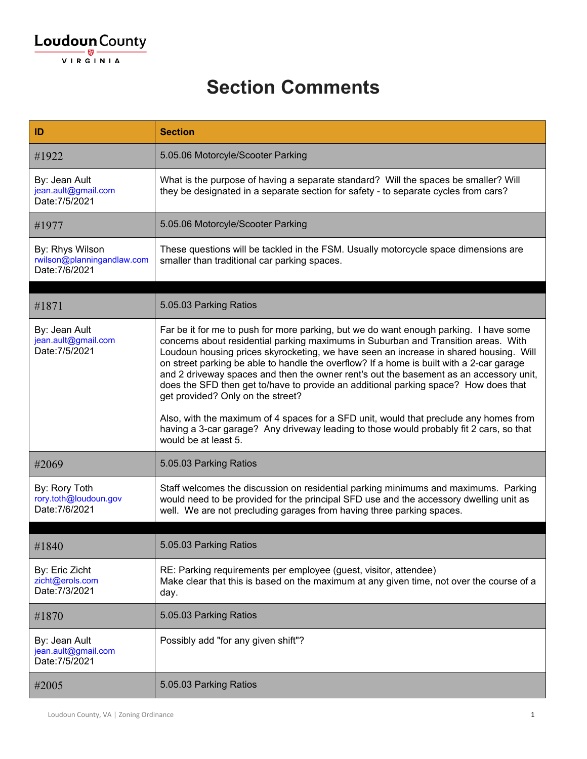#### **Section Comments**

| ID                                                              | <b>Section</b>                                                                                                                                                                                                                                                                                                                                                                                                                                                                                                                                                                                                                                                                                                                                                                                     |
|-----------------------------------------------------------------|----------------------------------------------------------------------------------------------------------------------------------------------------------------------------------------------------------------------------------------------------------------------------------------------------------------------------------------------------------------------------------------------------------------------------------------------------------------------------------------------------------------------------------------------------------------------------------------------------------------------------------------------------------------------------------------------------------------------------------------------------------------------------------------------------|
| #1922                                                           | 5.05.06 Motorcyle/Scooter Parking                                                                                                                                                                                                                                                                                                                                                                                                                                                                                                                                                                                                                                                                                                                                                                  |
| By: Jean Ault<br>jean.ault@gmail.com<br>Date: 7/5/2021          | What is the purpose of having a separate standard? Will the spaces be smaller? Will<br>they be designated in a separate section for safety - to separate cycles from cars?                                                                                                                                                                                                                                                                                                                                                                                                                                                                                                                                                                                                                         |
| #1977                                                           | 5.05.06 Motorcyle/Scooter Parking                                                                                                                                                                                                                                                                                                                                                                                                                                                                                                                                                                                                                                                                                                                                                                  |
| By: Rhys Wilson<br>rwilson@planningandlaw.com<br>Date: 7/6/2021 | These questions will be tackled in the FSM. Usually motorcycle space dimensions are<br>smaller than traditional car parking spaces.                                                                                                                                                                                                                                                                                                                                                                                                                                                                                                                                                                                                                                                                |
| #1871                                                           | 5.05.03 Parking Ratios                                                                                                                                                                                                                                                                                                                                                                                                                                                                                                                                                                                                                                                                                                                                                                             |
| By: Jean Ault<br>jean.ault@gmail.com<br>Date: 7/5/2021          | Far be it for me to push for more parking, but we do want enough parking. I have some<br>concerns about residential parking maximums in Suburban and Transition areas. With<br>Loudoun housing prices skyrocketing, we have seen an increase in shared housing. Will<br>on street parking be able to handle the overflow? If a home is built with a 2-car garage<br>and 2 driveway spaces and then the owner rent's out the basement as an accessory unit,<br>does the SFD then get to/have to provide an additional parking space? How does that<br>get provided? Only on the street?<br>Also, with the maximum of 4 spaces for a SFD unit, would that preclude any homes from<br>having a 3-car garage? Any driveway leading to those would probably fit 2 cars, so that<br>would be at least 5. |
| #2069                                                           | 5.05.03 Parking Ratios                                                                                                                                                                                                                                                                                                                                                                                                                                                                                                                                                                                                                                                                                                                                                                             |
| By: Rory Toth<br>rory.toth@loudoun.gov<br>Date: 7/6/2021        | Staff welcomes the discussion on residential parking minimums and maximums. Parking<br>would need to be provided for the principal SFD use and the accessory dwelling unit as<br>well. We are not precluding garages from having three parking spaces.                                                                                                                                                                                                                                                                                                                                                                                                                                                                                                                                             |
| #1840                                                           | 5.05.03 Parking Ratios                                                                                                                                                                                                                                                                                                                                                                                                                                                                                                                                                                                                                                                                                                                                                                             |
| By: Eric Zicht<br>zicht@erols.com<br>Date: 7/3/2021             | RE: Parking requirements per employee (guest, visitor, attendee)<br>Make clear that this is based on the maximum at any given time, not over the course of a<br>day.                                                                                                                                                                                                                                                                                                                                                                                                                                                                                                                                                                                                                               |
| #1870                                                           | 5.05.03 Parking Ratios                                                                                                                                                                                                                                                                                                                                                                                                                                                                                                                                                                                                                                                                                                                                                                             |
| By: Jean Ault<br>jean.ault@gmail.com<br>Date: 7/5/2021          | Possibly add "for any given shift"?                                                                                                                                                                                                                                                                                                                                                                                                                                                                                                                                                                                                                                                                                                                                                                |
| #2005                                                           | 5.05.03 Parking Ratios                                                                                                                                                                                                                                                                                                                                                                                                                                                                                                                                                                                                                                                                                                                                                                             |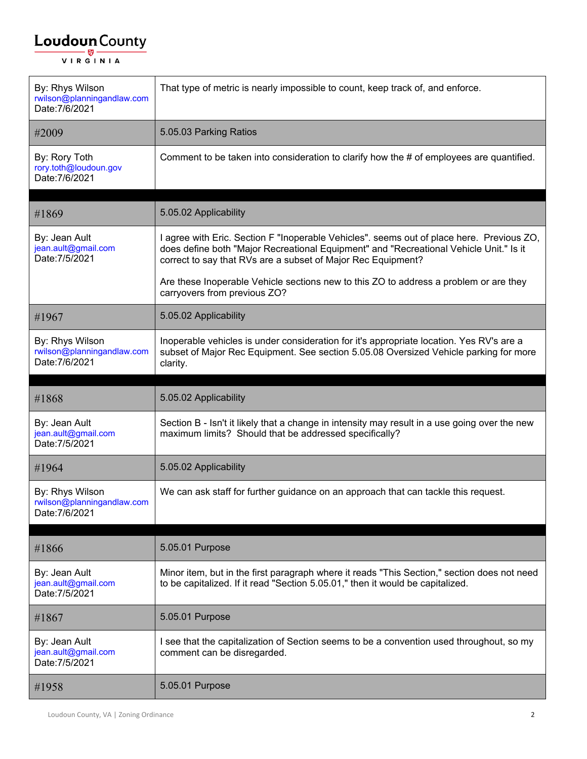| By: Rhys Wilson<br>rwilson@planningandlaw.com<br>Date: 7/6/2021 | That type of metric is nearly impossible to count, keep track of, and enforce.                                                                                                                                                                      |
|-----------------------------------------------------------------|-----------------------------------------------------------------------------------------------------------------------------------------------------------------------------------------------------------------------------------------------------|
| #2009                                                           | 5.05.03 Parking Ratios                                                                                                                                                                                                                              |
| By: Rory Toth<br>rory.toth@loudoun.gov<br>Date: 7/6/2021        | Comment to be taken into consideration to clarify how the # of employees are quantified.                                                                                                                                                            |
| #1869                                                           | 5.05.02 Applicability                                                                                                                                                                                                                               |
| By: Jean Ault<br>jean.ault@gmail.com<br>Date: 7/5/2021          | I agree with Eric. Section F "Inoperable Vehicles". seems out of place here. Previous ZO,<br>does define both "Major Recreational Equipment" and "Recreational Vehicle Unit." Is it<br>correct to say that RVs are a subset of Major Rec Equipment? |
|                                                                 | Are these Inoperable Vehicle sections new to this ZO to address a problem or are they<br>carryovers from previous ZO?                                                                                                                               |
| #1967                                                           | 5.05.02 Applicability                                                                                                                                                                                                                               |
| By: Rhys Wilson<br>rwilson@planningandlaw.com<br>Date: 7/6/2021 | Inoperable vehicles is under consideration for it's appropriate location. Yes RV's are a<br>subset of Major Rec Equipment. See section 5.05.08 Oversized Vehicle parking for more<br>clarity.                                                       |
| #1868                                                           | 5.05.02 Applicability                                                                                                                                                                                                                               |
| By: Jean Ault<br>jean.ault@gmail.com<br>Date: 7/5/2021          | Section B - Isn't it likely that a change in intensity may result in a use going over the new<br>maximum limits? Should that be addressed specifically?                                                                                             |
| #1964                                                           | 5.05.02 Applicability                                                                                                                                                                                                                               |
| By: Rhys Wilson<br>rwilson@planningandlaw.com<br>Date: 7/6/2021 | We can ask staff for further guidance on an approach that can tackle this request.                                                                                                                                                                  |
| #1866                                                           | 5.05.01 Purpose                                                                                                                                                                                                                                     |
| By: Jean Ault<br>jean.ault@gmail.com<br>Date: 7/5/2021          | Minor item, but in the first paragraph where it reads "This Section," section does not need<br>to be capitalized. If it read "Section 5.05.01," then it would be capitalized.                                                                       |
| #1867                                                           | 5.05.01 Purpose                                                                                                                                                                                                                                     |
| By: Jean Ault<br>jean.ault@gmail.com<br>Date: 7/5/2021          | I see that the capitalization of Section seems to be a convention used throughout, so my<br>comment can be disregarded.                                                                                                                             |
| #1958                                                           | 5.05.01 Purpose                                                                                                                                                                                                                                     |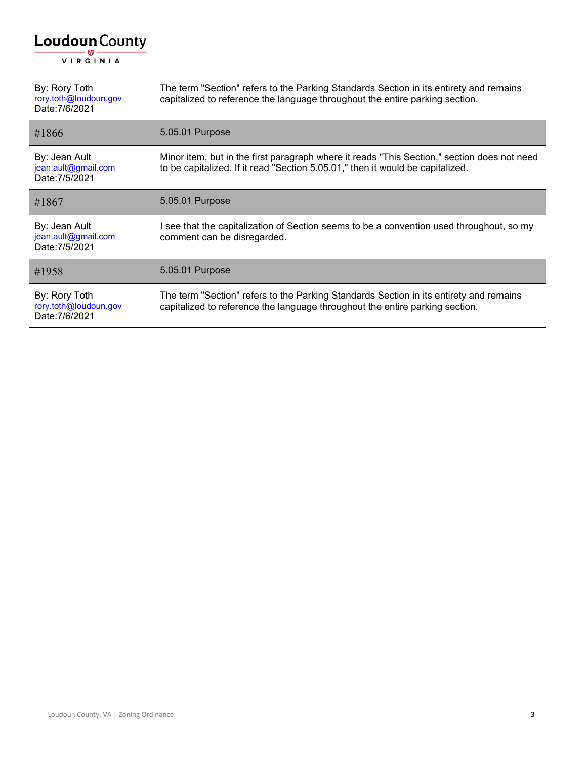| By: Rory Toth<br>rory.toth@loudoun.gov<br>Date: 7/6/2021 | The term "Section" refers to the Parking Standards Section in its entirety and remains<br>capitalized to reference the language throughout the entire parking section.        |
|----------------------------------------------------------|-------------------------------------------------------------------------------------------------------------------------------------------------------------------------------|
| #1866                                                    | 5.05.01 Purpose                                                                                                                                                               |
| By: Jean Ault<br>jean.ault@gmail.com<br>Date: 7/5/2021   | Minor item, but in the first paragraph where it reads "This Section," section does not need<br>to be capitalized. If it read "Section 5.05.01," then it would be capitalized. |
| #1867                                                    | 5.05.01 Purpose                                                                                                                                                               |
| By: Jean Ault<br>jean.ault@gmail.com<br>Date: 7/5/2021   | I see that the capitalization of Section seems to be a convention used throughout, so my<br>comment can be disregarded.                                                       |
| #1958                                                    | 5.05.01 Purpose                                                                                                                                                               |
| By: Rory Toth<br>rory.toth@loudoun.gov<br>Date: 7/6/2021 | The term "Section" refers to the Parking Standards Section in its entirety and remains<br>capitalized to reference the language throughout the entire parking section.        |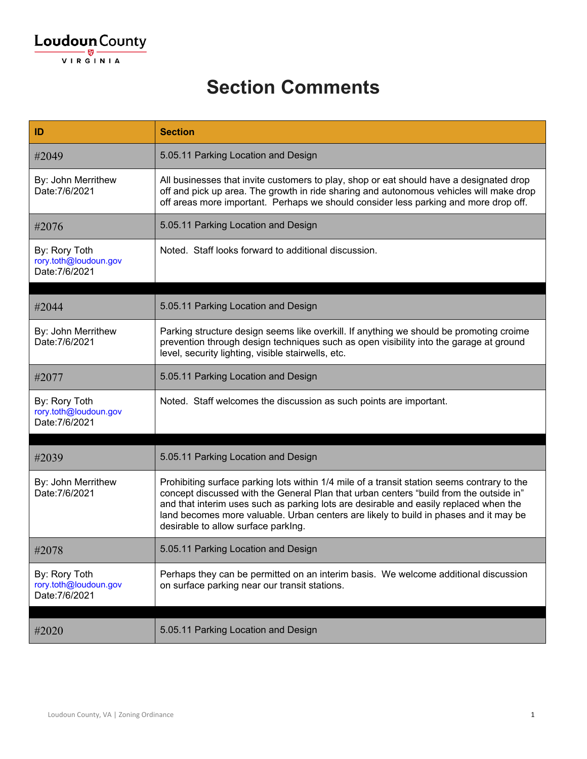#### **Section Comments**

| ID                                                       | <b>Section</b>                                                                                                                                                                                                                                                                                                                                                                                                 |
|----------------------------------------------------------|----------------------------------------------------------------------------------------------------------------------------------------------------------------------------------------------------------------------------------------------------------------------------------------------------------------------------------------------------------------------------------------------------------------|
| #2049                                                    | 5.05.11 Parking Location and Design                                                                                                                                                                                                                                                                                                                                                                            |
| By: John Merrithew<br>Date: 7/6/2021                     | All businesses that invite customers to play, shop or eat should have a designated drop<br>off and pick up area. The growth in ride sharing and autonomous vehicles will make drop<br>off areas more important. Perhaps we should consider less parking and more drop off.                                                                                                                                     |
| #2076                                                    | 5.05.11 Parking Location and Design                                                                                                                                                                                                                                                                                                                                                                            |
| By: Rory Toth<br>rory.toth@loudoun.gov<br>Date: 7/6/2021 | Noted. Staff looks forward to additional discussion.                                                                                                                                                                                                                                                                                                                                                           |
| #2044                                                    | 5.05.11 Parking Location and Design                                                                                                                                                                                                                                                                                                                                                                            |
| By: John Merrithew<br>Date: 7/6/2021                     | Parking structure design seems like overkill. If anything we should be promoting croime<br>prevention through design techniques such as open visibility into the garage at ground<br>level, security lighting, visible stairwells, etc.                                                                                                                                                                        |
| #2077                                                    | 5.05.11 Parking Location and Design                                                                                                                                                                                                                                                                                                                                                                            |
| By: Rory Toth<br>rory.toth@loudoun.gov<br>Date: 7/6/2021 | Noted. Staff welcomes the discussion as such points are important.                                                                                                                                                                                                                                                                                                                                             |
| #2039                                                    | 5.05.11 Parking Location and Design                                                                                                                                                                                                                                                                                                                                                                            |
|                                                          |                                                                                                                                                                                                                                                                                                                                                                                                                |
| By: John Merrithew<br>Date: 7/6/2021                     | Prohibiting surface parking lots within 1/4 mile of a transit station seems contrary to the<br>concept discussed with the General Plan that urban centers "build from the outside in"<br>and that interim uses such as parking lots are desirable and easily replaced when the<br>land becomes more valuable. Urban centers are likely to build in phases and it may be<br>desirable to allow surface parking. |
| #2078                                                    | 5.05.11 Parking Location and Design                                                                                                                                                                                                                                                                                                                                                                            |
| By: Rory Toth<br>rory.toth@loudoun.gov<br>Date: 7/6/2021 | Perhaps they can be permitted on an interim basis. We welcome additional discussion<br>on surface parking near our transit stations.                                                                                                                                                                                                                                                                           |
|                                                          |                                                                                                                                                                                                                                                                                                                                                                                                                |
| #2020                                                    | 5.05.11 Parking Location and Design                                                                                                                                                                                                                                                                                                                                                                            |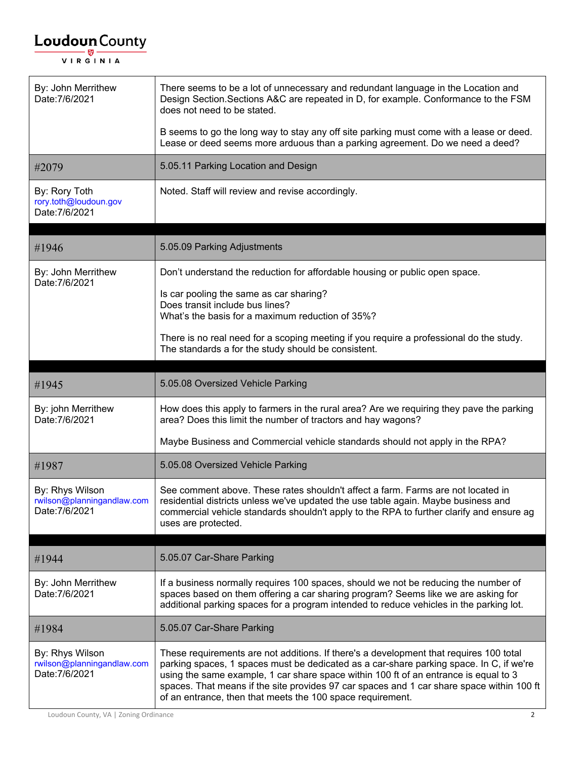| By: John Merrithew<br>Date: 7/6/2021                            | There seems to be a lot of unnecessary and redundant language in the Location and<br>Design Section. Sections A&C are repeated in D, for example. Conformance to the FSM<br>does not need to be stated.                                                                                                                                                                                                                              |
|-----------------------------------------------------------------|--------------------------------------------------------------------------------------------------------------------------------------------------------------------------------------------------------------------------------------------------------------------------------------------------------------------------------------------------------------------------------------------------------------------------------------|
|                                                                 | B seems to go the long way to stay any off site parking must come with a lease or deed.<br>Lease or deed seems more arduous than a parking agreement. Do we need a deed?                                                                                                                                                                                                                                                             |
| #2079                                                           | 5.05.11 Parking Location and Design                                                                                                                                                                                                                                                                                                                                                                                                  |
| By: Rory Toth<br>rory.toth@loudoun.gov<br>Date: 7/6/2021        | Noted. Staff will review and revise accordingly.                                                                                                                                                                                                                                                                                                                                                                                     |
| #1946                                                           | 5.05.09 Parking Adjustments                                                                                                                                                                                                                                                                                                                                                                                                          |
| By: John Merrithew<br>Date: 7/6/2021                            | Don't understand the reduction for affordable housing or public open space.                                                                                                                                                                                                                                                                                                                                                          |
|                                                                 | Is car pooling the same as car sharing?<br>Does transit include bus lines?<br>What's the basis for a maximum reduction of 35%?                                                                                                                                                                                                                                                                                                       |
|                                                                 | There is no real need for a scoping meeting if you require a professional do the study.<br>The standards a for the study should be consistent.                                                                                                                                                                                                                                                                                       |
| #1945                                                           | 5.05.08 Oversized Vehicle Parking                                                                                                                                                                                                                                                                                                                                                                                                    |
| By: john Merrithew<br>Date: 7/6/2021                            | How does this apply to farmers in the rural area? Are we requiring they pave the parking<br>area? Does this limit the number of tractors and hay wagons?                                                                                                                                                                                                                                                                             |
|                                                                 | Maybe Business and Commercial vehicle standards should not apply in the RPA?                                                                                                                                                                                                                                                                                                                                                         |
| #1987                                                           | 5.05.08 Oversized Vehicle Parking                                                                                                                                                                                                                                                                                                                                                                                                    |
| By: Rhys Wilson<br>rwilson@planningandlaw.com<br>Date: 7/6/2021 | See comment above. These rates shouldn't affect a farm. Farms are not located in<br>residential districts unless we've updated the use table again. Maybe business and<br>commercial vehicle standards shouldn't apply to the RPA to further clarify and ensure ag<br>uses are protected.                                                                                                                                            |
| #1944                                                           | 5.05.07 Car-Share Parking                                                                                                                                                                                                                                                                                                                                                                                                            |
| By: John Merrithew<br>Date: 7/6/2021                            | If a business normally requires 100 spaces, should we not be reducing the number of<br>spaces based on them offering a car sharing program? Seems like we are asking for<br>additional parking spaces for a program intended to reduce vehicles in the parking lot.                                                                                                                                                                  |
| #1984                                                           | 5.05.07 Car-Share Parking                                                                                                                                                                                                                                                                                                                                                                                                            |
| By: Rhys Wilson<br>rwilson@planningandlaw.com<br>Date: 7/6/2021 | These requirements are not additions. If there's a development that requires 100 total<br>parking spaces, 1 spaces must be dedicated as a car-share parking space. In C, if we're<br>using the same example, 1 car share space within 100 ft of an entrance is equal to 3<br>spaces. That means if the site provides 97 car spaces and 1 car share space within 100 ft<br>of an entrance, then that meets the 100 space requirement. |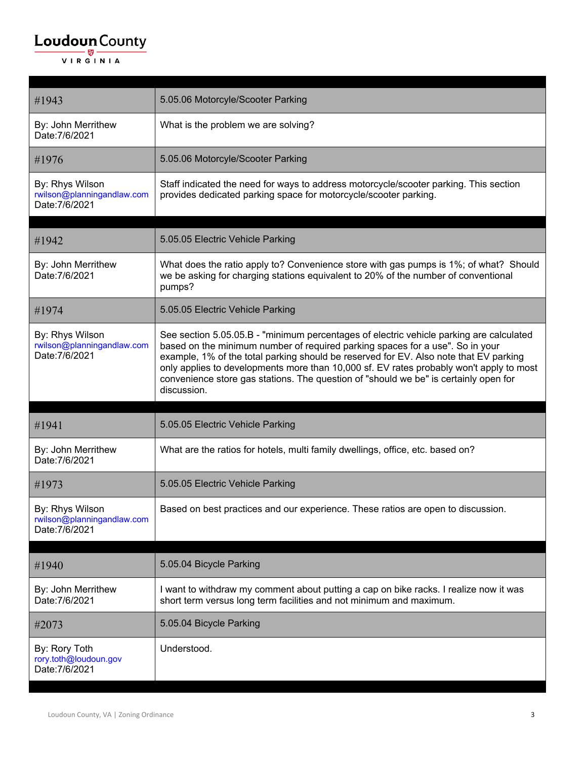| #1943                                                           | 5.05.06 Motorcyle/Scooter Parking                                                                                                                                                                                                                                                                                                                                                                                                                                   |
|-----------------------------------------------------------------|---------------------------------------------------------------------------------------------------------------------------------------------------------------------------------------------------------------------------------------------------------------------------------------------------------------------------------------------------------------------------------------------------------------------------------------------------------------------|
| By: John Merrithew<br>Date: 7/6/2021                            | What is the problem we are solving?                                                                                                                                                                                                                                                                                                                                                                                                                                 |
| #1976                                                           | 5.05.06 Motorcyle/Scooter Parking                                                                                                                                                                                                                                                                                                                                                                                                                                   |
| By: Rhys Wilson<br>rwilson@planningandlaw.com<br>Date: 7/6/2021 | Staff indicated the need for ways to address motorcycle/scooter parking. This section<br>provides dedicated parking space for motorcycle/scooter parking.                                                                                                                                                                                                                                                                                                           |
| #1942                                                           | 5.05.05 Electric Vehicle Parking                                                                                                                                                                                                                                                                                                                                                                                                                                    |
| By: John Merrithew<br>Date: 7/6/2021                            | What does the ratio apply to? Convenience store with gas pumps is 1%; of what? Should<br>we be asking for charging stations equivalent to 20% of the number of conventional<br>pumps?                                                                                                                                                                                                                                                                               |
| #1974                                                           | 5.05.05 Electric Vehicle Parking                                                                                                                                                                                                                                                                                                                                                                                                                                    |
| By: Rhys Wilson<br>rwilson@planningandlaw.com<br>Date: 7/6/2021 | See section 5.05.05.B - "minimum percentages of electric vehicle parking are calculated<br>based on the minimum number of required parking spaces for a use". So in your<br>example, 1% of the total parking should be reserved for EV. Also note that EV parking<br>only applies to developments more than 10,000 sf. EV rates probably won't apply to most<br>convenience store gas stations. The question of "should we be" is certainly open for<br>discussion. |
| #1941                                                           | 5.05.05 Electric Vehicle Parking                                                                                                                                                                                                                                                                                                                                                                                                                                    |
|                                                                 |                                                                                                                                                                                                                                                                                                                                                                                                                                                                     |
| By: John Merrithew<br>Date: 7/6/2021                            | What are the ratios for hotels, multi family dwellings, office, etc. based on?                                                                                                                                                                                                                                                                                                                                                                                      |
| #1973                                                           | 5.05.05 Electric Vehicle Parking                                                                                                                                                                                                                                                                                                                                                                                                                                    |
| By: Rhys Wilson<br>rwilson@planningandlaw.com<br>Date: 7/6/2021 | Based on best practices and our experience. These ratios are open to discussion.                                                                                                                                                                                                                                                                                                                                                                                    |
|                                                                 | 5.05.04 Bicycle Parking                                                                                                                                                                                                                                                                                                                                                                                                                                             |
| #1940                                                           |                                                                                                                                                                                                                                                                                                                                                                                                                                                                     |
| By: John Merrithew<br>Date: 7/6/2021                            | I want to withdraw my comment about putting a cap on bike racks. I realize now it was<br>short term versus long term facilities and not minimum and maximum.                                                                                                                                                                                                                                                                                                        |
| #2073                                                           | 5.05.04 Bicycle Parking                                                                                                                                                                                                                                                                                                                                                                                                                                             |
| By: Rory Toth<br>rory.toth@loudoun.gov<br>Date: 7/6/2021        | Understood.                                                                                                                                                                                                                                                                                                                                                                                                                                                         |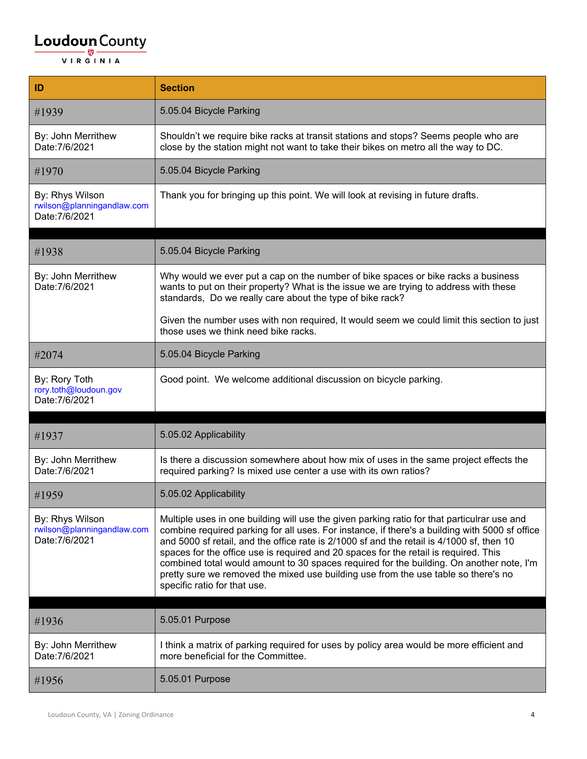| ID                                                              | <b>Section</b>                                                                                                                                                                                                                                                                                                                                                                                                                                                                                                                                                                                       |
|-----------------------------------------------------------------|------------------------------------------------------------------------------------------------------------------------------------------------------------------------------------------------------------------------------------------------------------------------------------------------------------------------------------------------------------------------------------------------------------------------------------------------------------------------------------------------------------------------------------------------------------------------------------------------------|
| #1939                                                           | 5.05.04 Bicycle Parking                                                                                                                                                                                                                                                                                                                                                                                                                                                                                                                                                                              |
| By: John Merrithew<br>Date: 7/6/2021                            | Shouldn't we require bike racks at transit stations and stops? Seems people who are<br>close by the station might not want to take their bikes on metro all the way to DC.                                                                                                                                                                                                                                                                                                                                                                                                                           |
| #1970                                                           | 5.05.04 Bicycle Parking                                                                                                                                                                                                                                                                                                                                                                                                                                                                                                                                                                              |
| By: Rhys Wilson<br>rwilson@planningandlaw.com<br>Date: 7/6/2021 | Thank you for bringing up this point. We will look at revising in future drafts.                                                                                                                                                                                                                                                                                                                                                                                                                                                                                                                     |
| #1938                                                           | 5.05.04 Bicycle Parking                                                                                                                                                                                                                                                                                                                                                                                                                                                                                                                                                                              |
|                                                                 |                                                                                                                                                                                                                                                                                                                                                                                                                                                                                                                                                                                                      |
| By: John Merrithew<br>Date: 7/6/2021                            | Why would we ever put a cap on the number of bike spaces or bike racks a business<br>wants to put on their property? What is the issue we are trying to address with these<br>standards, Do we really care about the type of bike rack?                                                                                                                                                                                                                                                                                                                                                              |
|                                                                 | Given the number uses with non required, It would seem we could limit this section to just<br>those uses we think need bike racks.                                                                                                                                                                                                                                                                                                                                                                                                                                                                   |
| #2074                                                           | 5.05.04 Bicycle Parking                                                                                                                                                                                                                                                                                                                                                                                                                                                                                                                                                                              |
| By: Rory Toth<br>rory.toth@loudoun.gov<br>Date: 7/6/2021        | Good point. We welcome additional discussion on bicycle parking.                                                                                                                                                                                                                                                                                                                                                                                                                                                                                                                                     |
| #1937                                                           | 5.05.02 Applicability                                                                                                                                                                                                                                                                                                                                                                                                                                                                                                                                                                                |
| By: John Merrithew<br>Date: 7/6/2021                            | Is there a discussion somewhere about how mix of uses in the same project effects the<br>required parking? Is mixed use center a use with its own ratios?                                                                                                                                                                                                                                                                                                                                                                                                                                            |
| #1959                                                           | 5.05.02 Applicability                                                                                                                                                                                                                                                                                                                                                                                                                                                                                                                                                                                |
| By: Rhys Wilson<br>rwilson@planningandlaw.com<br>Date: 7/6/2021 | Multiple uses in one building will use the given parking ratio for that particulrar use and<br>combine required parking for all uses. For instance, if there's a building with 5000 sf office<br>and 5000 sf retail, and the office rate is 2/1000 sf and the retail is 4/1000 sf, then 10<br>spaces for the office use is required and 20 spaces for the retail is required. This<br>combined total would amount to 30 spaces required for the building. On another note, I'm<br>pretty sure we removed the mixed use building use from the use table so there's no<br>specific ratio for that use. |
|                                                                 |                                                                                                                                                                                                                                                                                                                                                                                                                                                                                                                                                                                                      |
| #1936                                                           | 5.05.01 Purpose                                                                                                                                                                                                                                                                                                                                                                                                                                                                                                                                                                                      |
| By: John Merrithew<br>Date: 7/6/2021                            | I think a matrix of parking required for uses by policy area would be more efficient and<br>more beneficial for the Committee.                                                                                                                                                                                                                                                                                                                                                                                                                                                                       |
| #1956                                                           | 5.05.01 Purpose                                                                                                                                                                                                                                                                                                                                                                                                                                                                                                                                                                                      |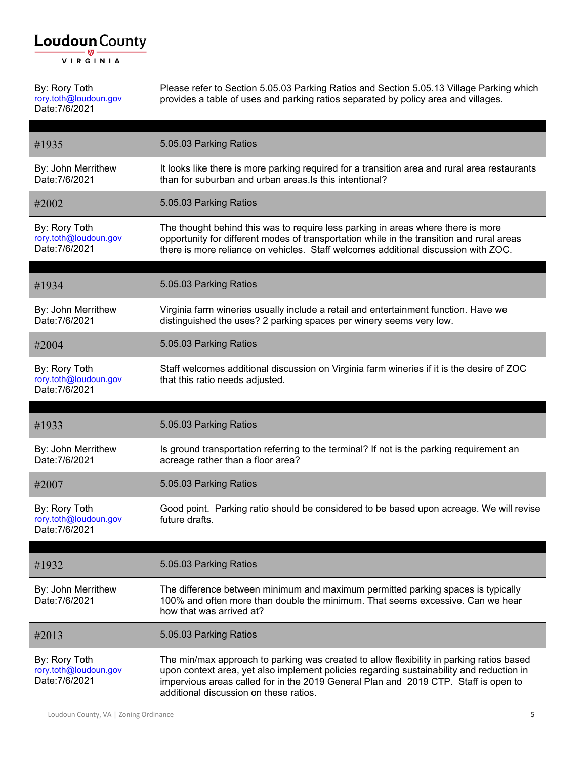| By: Rory Toth<br>rory.toth@loudoun.gov<br>Date: 7/6/2021 | Please refer to Section 5.05.03 Parking Ratios and Section 5.05.13 Village Parking which<br>provides a table of uses and parking ratios separated by policy area and villages.                                                                                      |
|----------------------------------------------------------|---------------------------------------------------------------------------------------------------------------------------------------------------------------------------------------------------------------------------------------------------------------------|
| #1935                                                    | 5.05.03 Parking Ratios                                                                                                                                                                                                                                              |
| By: John Merrithew<br>Date: 7/6/2021                     | It looks like there is more parking required for a transition area and rural area restaurants<br>than for suburban and urban areas. Is this intentional?                                                                                                            |
| #2002                                                    | 5.05.03 Parking Ratios                                                                                                                                                                                                                                              |
| By: Rory Toth<br>rory.toth@loudoun.gov<br>Date: 7/6/2021 | The thought behind this was to require less parking in areas where there is more<br>opportunity for different modes of transportation while in the transition and rural areas<br>there is more reliance on vehicles. Staff welcomes additional discussion with ZOC. |
| #1934                                                    | 5.05.03 Parking Ratios                                                                                                                                                                                                                                              |
| By: John Merrithew<br>Date: 7/6/2021                     | Virginia farm wineries usually include a retail and entertainment function. Have we<br>distinguished the uses? 2 parking spaces per winery seems very low.                                                                                                          |
| #2004                                                    | 5.05.03 Parking Ratios                                                                                                                                                                                                                                              |
| By: Rory Toth<br>rory.toth@loudoun.gov<br>Date: 7/6/2021 | Staff welcomes additional discussion on Virginia farm wineries if it is the desire of ZOC<br>that this ratio needs adjusted.                                                                                                                                        |
|                                                          |                                                                                                                                                                                                                                                                     |
| #1933                                                    | 5.05.03 Parking Ratios                                                                                                                                                                                                                                              |
| By: John Merrithew<br>Date: 7/6/2021                     | Is ground transportation referring to the terminal? If not is the parking requirement an<br>acreage rather than a floor area?                                                                                                                                       |
| #2007                                                    | 5.05.03 Parking Ratios                                                                                                                                                                                                                                              |
| By: Rory Toth                                            |                                                                                                                                                                                                                                                                     |
| rory.toth@loudoun.gov<br>Date: 7/6/2021                  | Good point. Parking ratio should be considered to be based upon acreage. We will revise<br>future drafts.                                                                                                                                                           |
| #1932                                                    | 5.05.03 Parking Ratios                                                                                                                                                                                                                                              |
| By: John Merrithew<br>Date: 7/6/2021                     | The difference between minimum and maximum permitted parking spaces is typically<br>100% and often more than double the minimum. That seems excessive. Can we hear<br>how that was arrived at?                                                                      |
| #2013                                                    | 5.05.03 Parking Ratios                                                                                                                                                                                                                                              |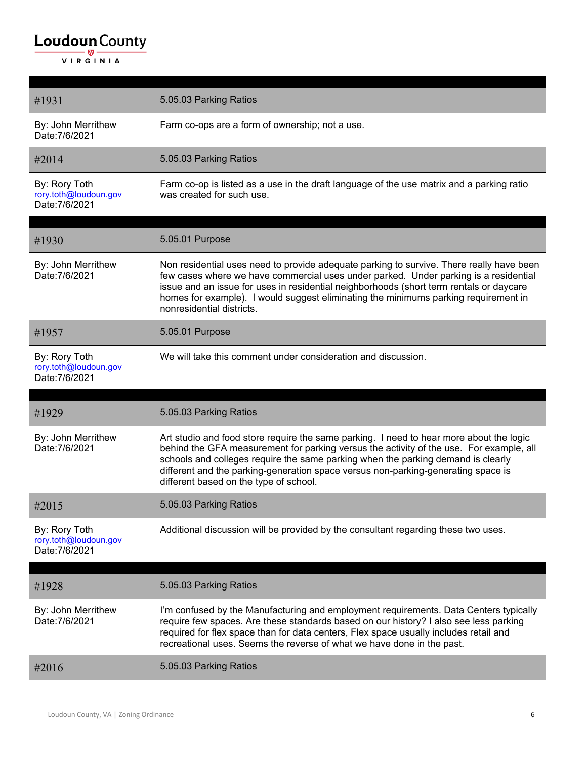| #1931                                                    | 5.05.03 Parking Ratios                                                                                                                                                                                                                                                                                                                                                                                |
|----------------------------------------------------------|-------------------------------------------------------------------------------------------------------------------------------------------------------------------------------------------------------------------------------------------------------------------------------------------------------------------------------------------------------------------------------------------------------|
| By: John Merrithew<br>Date: 7/6/2021                     | Farm co-ops are a form of ownership; not a use.                                                                                                                                                                                                                                                                                                                                                       |
| #2014                                                    | 5.05.03 Parking Ratios                                                                                                                                                                                                                                                                                                                                                                                |
| By: Rory Toth<br>rory.toth@loudoun.gov<br>Date: 7/6/2021 | Farm co-op is listed as a use in the draft language of the use matrix and a parking ratio<br>was created for such use.                                                                                                                                                                                                                                                                                |
| #1930                                                    | 5.05.01 Purpose                                                                                                                                                                                                                                                                                                                                                                                       |
| By: John Merrithew<br>Date: 7/6/2021                     | Non residential uses need to provide adequate parking to survive. There really have been<br>few cases where we have commercial uses under parked. Under parking is a residential<br>issue and an issue for uses in residential neighborhoods (short term rentals or daycare<br>homes for example). I would suggest eliminating the minimums parking requirement in<br>nonresidential districts.       |
| #1957                                                    | 5.05.01 Purpose                                                                                                                                                                                                                                                                                                                                                                                       |
| By: Rory Toth<br>rory.toth@loudoun.gov<br>Date: 7/6/2021 | We will take this comment under consideration and discussion.                                                                                                                                                                                                                                                                                                                                         |
|                                                          |                                                                                                                                                                                                                                                                                                                                                                                                       |
|                                                          |                                                                                                                                                                                                                                                                                                                                                                                                       |
| #1929                                                    | 5.05.03 Parking Ratios                                                                                                                                                                                                                                                                                                                                                                                |
| By: John Merrithew<br>Date: 7/6/2021                     | Art studio and food store require the same parking. I need to hear more about the logic<br>behind the GFA measurement for parking versus the activity of the use. For example, all<br>schools and colleges require the same parking when the parking demand is clearly<br>different and the parking-generation space versus non-parking-generating space is<br>different based on the type of school. |
| #2015                                                    | 5.05.03 Parking Ratios                                                                                                                                                                                                                                                                                                                                                                                |
| By: Rory Toth<br>rory.toth@loudoun.gov<br>Date: 7/6/2021 | Additional discussion will be provided by the consultant regarding these two uses.                                                                                                                                                                                                                                                                                                                    |
|                                                          |                                                                                                                                                                                                                                                                                                                                                                                                       |
| #1928                                                    | 5.05.03 Parking Ratios                                                                                                                                                                                                                                                                                                                                                                                |
| By: John Merrithew<br>Date: 7/6/2021                     | I'm confused by the Manufacturing and employment requirements. Data Centers typically<br>require few spaces. Are these standards based on our history? I also see less parking<br>required for flex space than for data centers, Flex space usually includes retail and<br>recreational uses. Seems the reverse of what we have done in the past.                                                     |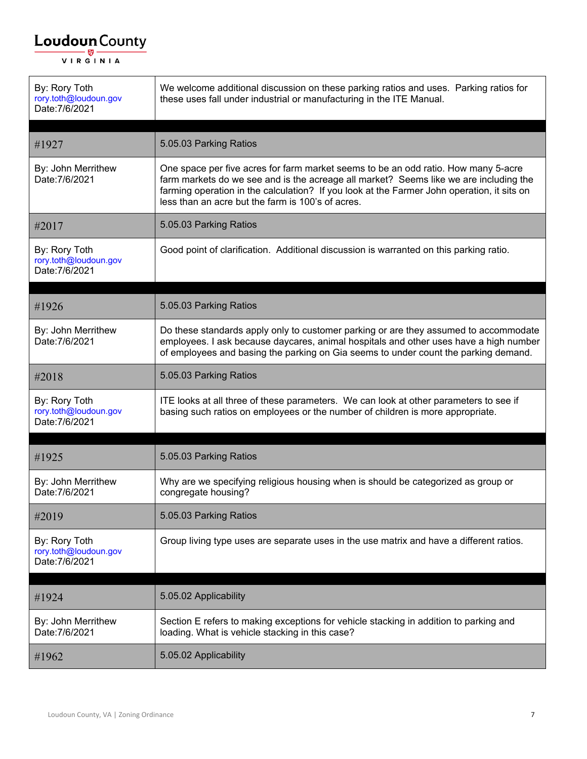| By: Rory Toth<br>rory.toth@loudoun.gov<br>Date: 7/6/2021 | We welcome additional discussion on these parking ratios and uses. Parking ratios for<br>these uses fall under industrial or manufacturing in the ITE Manual.                                                                                                                                                                  |
|----------------------------------------------------------|--------------------------------------------------------------------------------------------------------------------------------------------------------------------------------------------------------------------------------------------------------------------------------------------------------------------------------|
| #1927                                                    | 5.05.03 Parking Ratios                                                                                                                                                                                                                                                                                                         |
| By: John Merrithew<br>Date: 7/6/2021                     | One space per five acres for farm market seems to be an odd ratio. How many 5-acre<br>farm markets do we see and is the acreage all market? Seems like we are including the<br>farming operation in the calculation? If you look at the Farmer John operation, it sits on<br>less than an acre but the farm is 100's of acres. |
| #2017                                                    | 5.05.03 Parking Ratios                                                                                                                                                                                                                                                                                                         |
| By: Rory Toth<br>rory.toth@loudoun.gov<br>Date: 7/6/2021 | Good point of clarification. Additional discussion is warranted on this parking ratio.                                                                                                                                                                                                                                         |
| #1926                                                    | 5.05.03 Parking Ratios                                                                                                                                                                                                                                                                                                         |
|                                                          |                                                                                                                                                                                                                                                                                                                                |
| By: John Merrithew<br>Date: 7/6/2021                     | Do these standards apply only to customer parking or are they assumed to accommodate<br>employees. I ask because daycares, animal hospitals and other uses have a high number<br>of employees and basing the parking on Gia seems to under count the parking demand.                                                           |
| #2018                                                    | 5.05.03 Parking Ratios                                                                                                                                                                                                                                                                                                         |
| By: Rory Toth<br>rory.toth@loudoun.gov<br>Date: 7/6/2021 | ITE looks at all three of these parameters. We can look at other parameters to see if<br>basing such ratios on employees or the number of children is more appropriate.                                                                                                                                                        |
|                                                          |                                                                                                                                                                                                                                                                                                                                |
| #1925                                                    | 5.05.03 Parking Ratios                                                                                                                                                                                                                                                                                                         |
| By: John Merrithew<br>Date: 7/6/2021                     | Why are we specifying religious housing when is should be categorized as group or<br>congregate housing?                                                                                                                                                                                                                       |
| #2019                                                    | 5.05.03 Parking Ratios                                                                                                                                                                                                                                                                                                         |
| By: Rory Toth<br>rory.toth@loudoun.gov<br>Date: 7/6/2021 | Group living type uses are separate uses in the use matrix and have a different ratios.                                                                                                                                                                                                                                        |
| #1924                                                    | 5.05.02 Applicability                                                                                                                                                                                                                                                                                                          |
| By: John Merrithew<br>Date: 7/6/2021                     | Section E refers to making exceptions for vehicle stacking in addition to parking and<br>loading. What is vehicle stacking in this case?                                                                                                                                                                                       |
| #1962                                                    | 5.05.02 Applicability                                                                                                                                                                                                                                                                                                          |